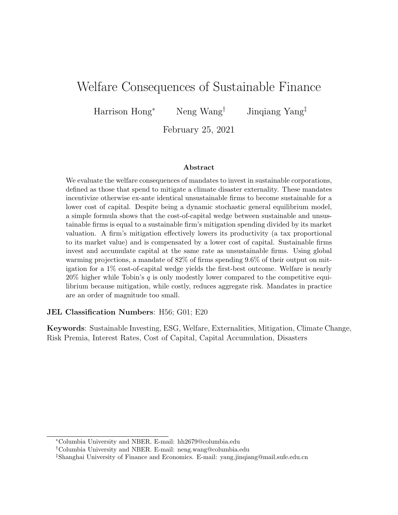# Welfare Consequences of Sustainable Finance

Harrison Hong<sup>∗</sup> Neng Wang† Jinqiang Yang‡

February 25, 2021

#### Abstract

We evaluate the welfare consequences of mandates to invest in sustainable corporations, defined as those that spend to mitigate a climate disaster externality. These mandates incentivize otherwise ex-ante identical unsustainable firms to become sustainable for a lower cost of capital. Despite being a dynamic stochastic general equilibrium model, a simple formula shows that the cost-of-capital wedge between sustainable and unsustainable firms is equal to a sustainable firm's mitigation spending divided by its market valuation. A firm's mitigation effectively lowers its productivity (a tax proportional to its market value) and is compensated by a lower cost of capital. Sustainable firms invest and accumulate capital at the same rate as unsustainable firms. Using global warming projections, a mandate of 82% of firms spending 9.6% of their output on mitigation for a 1% cost-of-capital wedge yields the first-best outcome. Welfare is nearly 20% higher while Tobin's q is only modestly lower compared to the competitive equilibrium because mitigation, while costly, reduces aggregate risk. Mandates in practice are an order of magnitude too small.

#### JEL Classification Numbers: H56; G01; E20

Keywords: Sustainable Investing, ESG, Welfare, Externalities, Mitigation, Climate Change, Risk Premia, Interest Rates, Cost of Capital, Capital Accumulation, Disasters

<sup>∗</sup>Columbia University and NBER. E-mail: hh2679@columbia.edu

<sup>†</sup>Columbia University and NBER. E-mail: neng.wang@columbia.edu

<sup>‡</sup>Shanghai University of Finance and Economics. E-mail: yang.jinqiang@mail.sufe.edu.cn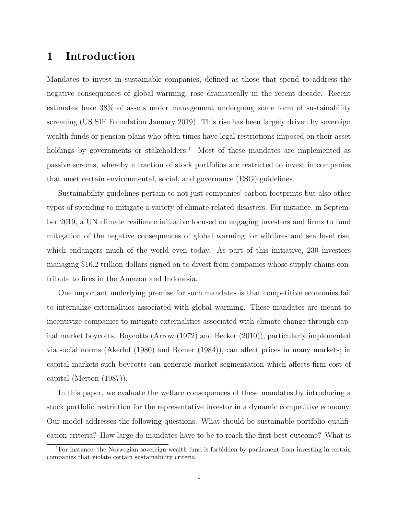### 1 Introduction

Mandates to invest in sustainable companies, defined as those that spend to address the negative consequences of global warming, rose dramatically in the recent decade. Recent estimates have 38% of assets under management undergoing some form of sustainability screening (US SIF Foundation January 2019). This rise has been largely driven by sovereign wealth funds or pension plans who often times have legal restrictions imposed on their asset holdings by governments or stakeholders.<sup>1</sup> Most of these mandates are implemented as passive screens, whereby a fraction of stock portfolios are restricted to invest in companies that meet certain environmental, social, and governance (ESG) guidelines.

Sustainability guidelines pertain to not just companies' carbon footprints but also other types of spending to mitigate a variety of climate-related disasters. For instance, in September 2019, a UN climate resilience initiative focused on engaging investors and firms to fund mitigation of the negative consequences of global warming for wildfires and sea level rise, which endangers much of the world even today. As part of this initiative, 230 investors managing \$16.2 trillion dollars signed on to divest from companies whose supply-chains contribute to fires in the Amazon and Indonesia.

One important underlying premise for such mandates is that competitive economies fail to internalize externalities associated with global warming. These mandates are meant to incentivize companies to mitigate externalities associated with climate change through capital market boycotts. Boycotts (Arrow (1972) and Becker (2010)), particularly implemented via social norms (Akerlof (1980) and Romer (1984)), can affect prices in many markets; in capital markets such boycotts can generate market segmentation which affects firm cost of capital (Merton (1987)).

In this paper, we evaluate the welfare consequences of these mandates by introducing a stock portfolio restriction for the representative investor in a dynamic competitive economy. Our model addresses the following questions. What should be sustainable portfolio qualification criteria? How large do mandates have to be to reach the first-best outcome? What is

<sup>&</sup>lt;sup>1</sup>For instance, the Norwegian sovereign wealth fund is forbidden by parliament from investing in certain companies that violate certain sustainability criteria.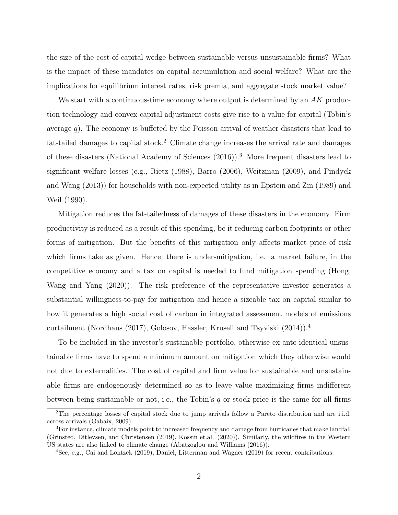the size of the cost-of-capital wedge between sustainable versus unsustainable firms? What is the impact of these mandates on capital accumulation and social welfare? What are the implications for equilibrium interest rates, risk premia, and aggregate stock market value?

We start with a continuous-time economy where output is determined by an  $AK$  production technology and convex capital adjustment costs give rise to a value for capital (Tobin's average q). The economy is buffeted by the Poisson arrival of weather disasters that lead to fat-tailed damages to capital stock.<sup>2</sup> Climate change increases the arrival rate and damages of these disasters (National Academy of Sciences (2016)).<sup>3</sup> More frequent disasters lead to significant welfare losses (e.g., Rietz (1988), Barro (2006), Weitzman (2009), and Pindyck and Wang (2013)) for households with non-expected utility as in Epstein and Zin (1989) and Weil (1990).

Mitigation reduces the fat-tailedness of damages of these disasters in the economy. Firm productivity is reduced as a result of this spending, be it reducing carbon footprints or other forms of mitigation. But the benefits of this mitigation only affects market price of risk which firms take as given. Hence, there is under-mitigation, i.e. a market failure, in the competitive economy and a tax on capital is needed to fund mitigation spending (Hong, Wang and Yang (2020)). The risk preference of the representative investor generates a substantial willingness-to-pay for mitigation and hence a sizeable tax on capital similar to how it generates a high social cost of carbon in integrated assessment models of emissions curtailment (Nordhaus (2017), Golosov, Hassler, Krusell and Tsyviski (2014)).<sup>4</sup>

To be included in the investor's sustainable portfolio, otherwise ex-ante identical unsustainable firms have to spend a minimum amount on mitigation which they otherwise would not due to externalities. The cost of capital and firm value for sustainable and unsustainable firms are endogenously determined so as to leave value maximizing firms indifferent between being sustainable or not, i.e., the Tobin's  $q$  or stock price is the same for all firms

<sup>2</sup>The percentage losses of capital stock due to jump arrivals follow a Pareto distribution and are i.i.d. across arrivals (Gabaix, 2009).

<sup>&</sup>lt;sup>3</sup>For instance, climate models point to increased frequency and damage from hurricanes that make landfall (Grinsted, Ditlevsen, and Christensen (2019), Kossin et.al. (2020)). Similarly, the wildfires in the Western US states are also linked to climate change (Abatzoglou and Williams (2016)).

<sup>4</sup>See, e.g., Cai and Lontzek (2019), Daniel, Litterman and Wagner (2019) for recent contributions.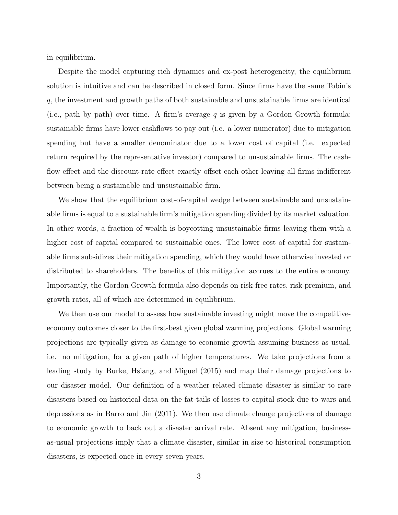in equilibrium.

Despite the model capturing rich dynamics and ex-post heterogeneity, the equilibrium solution is intuitive and can be described in closed form. Since firms have the same Tobin's q, the investment and growth paths of both sustainable and unsustainable firms are identical (i.e., path by path) over time. A firm's average  $q$  is given by a Gordon Growth formula: sustainable firms have lower cashflows to pay out (i.e. a lower numerator) due to mitigation spending but have a smaller denominator due to a lower cost of capital (i.e. expected return required by the representative investor) compared to unsustainable firms. The cashflow effect and the discount-rate effect exactly offset each other leaving all firms indifferent between being a sustainable and unsustainable firm.

We show that the equilibrium cost-of-capital wedge between sustainable and unsustainable firms is equal to a sustainable firm's mitigation spending divided by its market valuation. In other words, a fraction of wealth is boycotting unsustainable firms leaving them with a higher cost of capital compared to sustainable ones. The lower cost of capital for sustainable firms subsidizes their mitigation spending, which they would have otherwise invested or distributed to shareholders. The benefits of this mitigation accrues to the entire economy. Importantly, the Gordon Growth formula also depends on risk-free rates, risk premium, and growth rates, all of which are determined in equilibrium.

We then use our model to assess how sustainable investing might move the competitiveeconomy outcomes closer to the first-best given global warming projections. Global warming projections are typically given as damage to economic growth assuming business as usual, i.e. no mitigation, for a given path of higher temperatures. We take projections from a leading study by Burke, Hsiang, and Miguel (2015) and map their damage projections to our disaster model. Our definition of a weather related climate disaster is similar to rare disasters based on historical data on the fat-tails of losses to capital stock due to wars and depressions as in Barro and Jin (2011). We then use climate change projections of damage to economic growth to back out a disaster arrival rate. Absent any mitigation, businessas-usual projections imply that a climate disaster, similar in size to historical consumption disasters, is expected once in every seven years.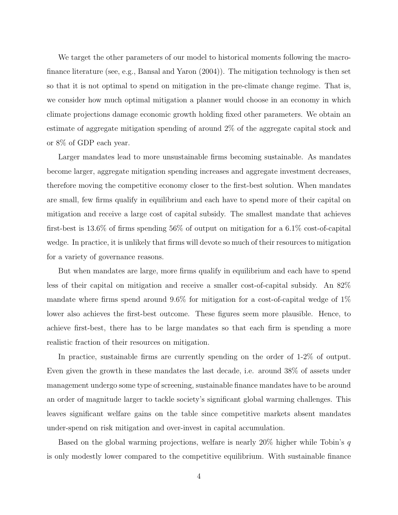We target the other parameters of our model to historical moments following the macrofinance literature (see, e.g., Bansal and Yaron (2004)). The mitigation technology is then set so that it is not optimal to spend on mitigation in the pre-climate change regime. That is, we consider how much optimal mitigation a planner would choose in an economy in which climate projections damage economic growth holding fixed other parameters. We obtain an estimate of aggregate mitigation spending of around 2% of the aggregate capital stock and or 8% of GDP each year.

Larger mandates lead to more unsustainable firms becoming sustainable. As mandates become larger, aggregate mitigation spending increases and aggregate investment decreases, therefore moving the competitive economy closer to the first-best solution. When mandates are small, few firms qualify in equilibrium and each have to spend more of their capital on mitigation and receive a large cost of capital subsidy. The smallest mandate that achieves first-best is 13.6% of firms spending 56% of output on mitigation for a 6.1% cost-of-capital wedge. In practice, it is unlikely that firms will devote so much of their resources to mitigation for a variety of governance reasons.

But when mandates are large, more firms qualify in equilibrium and each have to spend less of their capital on mitigation and receive a smaller cost-of-capital subsidy. An 82% mandate where firms spend around 9.6% for mitigation for a cost-of-capital wedge of 1% lower also achieves the first-best outcome. These figures seem more plausible. Hence, to achieve first-best, there has to be large mandates so that each firm is spending a more realistic fraction of their resources on mitigation.

In practice, sustainable firms are currently spending on the order of 1-2% of output. Even given the growth in these mandates the last decade, i.e. around 38% of assets under management undergo some type of screening, sustainable finance mandates have to be around an order of magnitude larger to tackle society's significant global warming challenges. This leaves significant welfare gains on the table since competitive markets absent mandates under-spend on risk mitigation and over-invest in capital accumulation.

Based on the global warming projections, welfare is nearly 20% higher while Tobin's  $q$ is only modestly lower compared to the competitive equilibrium. With sustainable finance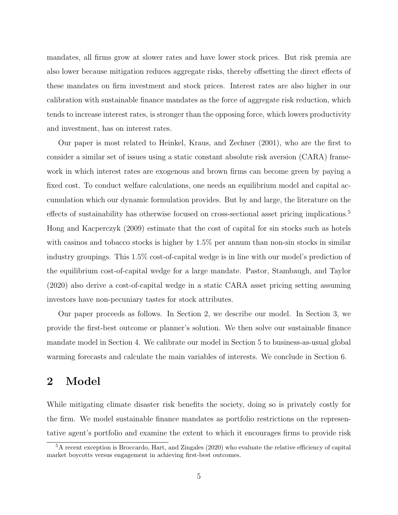mandates, all firms grow at slower rates and have lower stock prices. But risk premia are also lower because mitigation reduces aggregate risks, thereby offsetting the direct effects of these mandates on firm investment and stock prices. Interest rates are also higher in our calibration with sustainable finance mandates as the force of aggregate risk reduction, which tends to increase interest rates, is stronger than the opposing force, which lowers productivity and investment, has on interest rates.

Our paper is most related to Heinkel, Kraus, and Zechner (2001), who are the first to consider a similar set of issues using a static constant absolute risk aversion (CARA) framework in which interest rates are exogenous and brown firms can become green by paying a fixed cost. To conduct welfare calculations, one needs an equilibrium model and capital accumulation which our dynamic formulation provides. But by and large, the literature on the effects of sustainability has otherwise focused on cross-sectional asset pricing implications.<sup>5</sup> Hong and Kacperczyk (2009) estimate that the cost of capital for sin stocks such as hotels with casinos and tobacco stocks is higher by  $1.5\%$  per annum than non-sin stocks in similar industry groupings. This 1.5% cost-of-capital wedge is in line with our model's prediction of the equilibrium cost-of-capital wedge for a large mandate. Pastor, Stambaugh, and Taylor (2020) also derive a cost-of-capital wedge in a static CARA asset pricing setting assuming investors have non-pecuniary tastes for stock attributes.

Our paper proceeds as follows. In Section 2, we describe our model. In Section 3, we provide the first-best outcome or planner's solution. We then solve our sustainable finance mandate model in Section 4. We calibrate our model in Section 5 to business-as-usual global warming forecasts and calculate the main variables of interests. We conclude in Section 6.

### 2 Model

While mitigating climate disaster risk benefits the society, doing so is privately costly for the firm. We model sustainable finance mandates as portfolio restrictions on the representative agent's portfolio and examine the extent to which it encourages firms to provide risk

<sup>5</sup>A recent exception is Broccardo, Hart, and Zingales (2020) who evaluate the relative efficiency of capital market boycotts versus engagement in achieving first-best outcomes.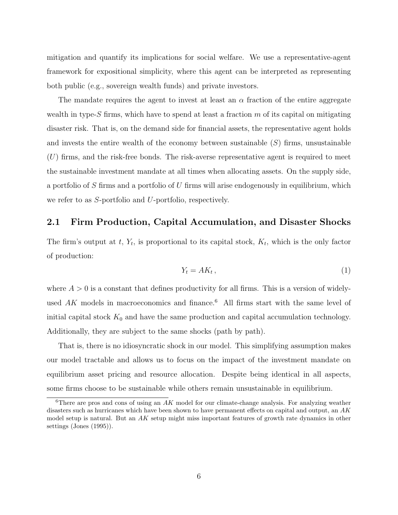mitigation and quantify its implications for social welfare. We use a representative-agent framework for expositional simplicity, where this agent can be interpreted as representing both public (e.g., sovereign wealth funds) and private investors.

The mandate requires the agent to invest at least an  $\alpha$  fraction of the entire aggregate wealth in type-S firms, which have to spend at least a fraction  $m$  of its capital on mitigating disaster risk. That is, on the demand side for financial assets, the representative agent holds and invests the entire wealth of the economy between sustainable  $(S)$  firms, unsustainable  $(U)$  firms, and the risk-free bonds. The risk-averse representative agent is required to meet the sustainable investment mandate at all times when allocating assets. On the supply side, a portfolio of  $S$  firms and a portfolio of  $U$  firms will arise endogenously in equilibrium, which we refer to as S-portfolio and U-portfolio, respectively.

#### 2.1 Firm Production, Capital Accumulation, and Disaster Shocks

The firm's output at  $t$ ,  $Y_t$ , is proportional to its capital stock,  $K_t$ , which is the only factor of production:

$$
Y_t = AK_t, \t\t(1)
$$

where  $A > 0$  is a constant that defines productivity for all firms. This is a version of widelyused  $AK$  models in macroeconomics and finance.<sup>6</sup> All firms start with the same level of initial capital stock  $K_0$  and have the same production and capital accumulation technology. Additionally, they are subject to the same shocks (path by path).

That is, there is no idiosyncratic shock in our model. This simplifying assumption makes our model tractable and allows us to focus on the impact of the investment mandate on equilibrium asset pricing and resource allocation. Despite being identical in all aspects, some firms choose to be sustainable while others remain unsustainable in equilibrium.

<sup>&</sup>lt;sup>6</sup>There are pros and cons of using an  $AK$  model for our climate-change analysis. For analyzing weather disasters such as hurricanes which have been shown to have permanent effects on capital and output, an AK model setup is natural. But an  $AK$  setup might miss important features of growth rate dynamics in other settings (Jones (1995)).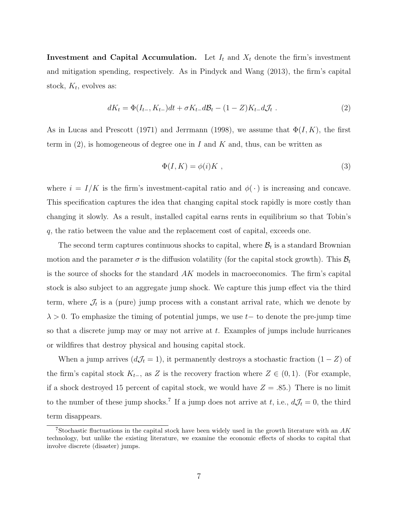**Investment and Capital Accumulation.** Let  $I_t$  and  $X_t$  denote the firm's investment and mitigation spending, respectively. As in Pindyck and Wang (2013), the firm's capital stock,  $K_t$ , evolves as:

$$
dK_t = \Phi(I_{t-}, K_{t-})dt + \sigma K_{t-}d\mathcal{B}_t - (1 - Z)K_{t-}d\mathcal{J}_t.
$$
\n
$$
(2)
$$

As in Lucas and Prescott (1971) and Jerrmann (1998), we assume that  $\Phi(I, K)$ , the first term in  $(2)$ , is homogeneous of degree one in I and K and, thus, can be written as

$$
\Phi(I, K) = \phi(i)K \tag{3}
$$

where  $i = I/K$  is the firm's investment-capital ratio and  $\phi(\cdot)$  is increasing and concave. This specification captures the idea that changing capital stock rapidly is more costly than changing it slowly. As a result, installed capital earns rents in equilibrium so that Tobin's q, the ratio between the value and the replacement cost of capital, exceeds one.

The second term captures continuous shocks to capital, where  $B_t$  is a standard Brownian motion and the parameter  $\sigma$  is the diffusion volatility (for the capital stock growth). This  $\mathcal{B}_t$ is the source of shocks for the standard AK models in macroeconomics. The firm's capital stock is also subject to an aggregate jump shock. We capture this jump effect via the third term, where  $\mathcal{J}_t$  is a (pure) jump process with a constant arrival rate, which we denote by  $\lambda > 0$ . To emphasize the timing of potential jumps, we use t– to denote the pre-jump time so that a discrete jump may or may not arrive at  $t$ . Examples of jumps include hurricanes or wildfires that destroy physical and housing capital stock.

When a jump arrives  $(d\mathcal{J}_t = 1)$ , it permanently destroys a stochastic fraction  $(1 - Z)$  of the firm's capital stock  $K_{t-}$ , as Z is the recovery fraction where  $Z \in (0,1)$ . (For example, if a shock destroyed 15 percent of capital stock, we would have  $Z = .85$ .) There is no limit to the number of these jump shocks.<sup>7</sup> If a jump does not arrive at t, i.e.,  $dJ_t = 0$ , the third term disappears.

<sup>&</sup>lt;sup>7</sup>Stochastic fluctuations in the capital stock have been widely used in the growth literature with an  $AK$ technology, but unlike the existing literature, we examine the economic effects of shocks to capital that involve discrete (disaster) jumps.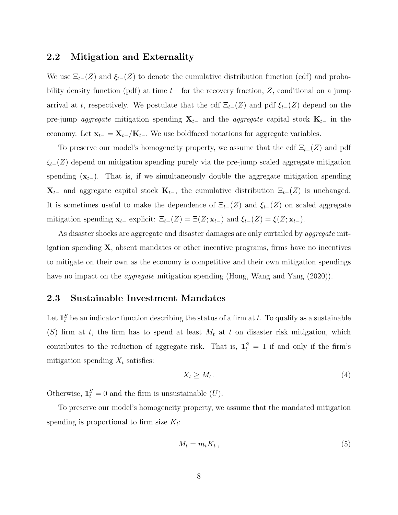#### 2.2 Mitigation and Externality

We use  $\Xi_{t-}(Z)$  and  $\xi_{t-}(Z)$  to denote the cumulative distribution function (cdf) and probability density function (pdf) at time  $t-$  for the recovery fraction, Z, conditional on a jump arrival at t, respectively. We postulate that the cdf  $\Xi_{t-}(Z)$  and pdf  $\xi_{t-}(Z)$  depend on the pre-jump *aggregate* mitigation spending  $X_{t-}$  and the *aggregate* capital stock  $K_{t-}$  in the economy. Let  $\mathbf{x}_{t-} = \mathbf{X}_{t-}/\mathbf{K}_{t-}$ . We use boldfaced notations for aggregate variables.

To preserve our model's homogeneity property, we assume that the cdf  $\Xi_{t-}(Z)$  and pdf  $\xi_{t-}(Z)$  depend on mitigation spending purely via the pre-jump scaled aggregate mitigation spending  $(\mathbf{x}_{t-})$ . That is, if we simultaneously double the aggregate mitigation spending  $\mathbf{X}_{t-}$  and aggregate capital stock  $\mathbf{K}_{t-}$ , the cumulative distribution  $\Xi_{t-}(Z)$  is unchanged. It is sometimes useful to make the dependence of  $\Xi_{t-}(Z)$  and  $\xi_{t-}(Z)$  on scaled aggregate mitigation spending  $\mathbf{x}_{t-}$  explicit:  $\Xi_{t-}(Z) = \Xi(Z; \mathbf{x}_{t-})$  and  $\xi_{t-}(Z) = \xi(Z; \mathbf{x}_{t-})$ .

As disaster shocks are aggregate and disaster damages are only curtailed by *aggregate* mitigation spending  $X$ , absent mandates or other incentive programs, firms have no incentives to mitigate on their own as the economy is competitive and their own mitigation spendings have no impact on the *aggregate* mitigation spending (Hong, Wang and Yang (2020)).

#### 2.3 Sustainable Investment Mandates

Let  $\mathbf{1}_t^S$  be an indicator function describing the status of a firm at t. To qualify as a sustainable (S) firm at t, the firm has to spend at least  $M_t$  at t on disaster risk mitigation, which contributes to the reduction of aggregate risk. That is,  $\mathbf{1}_t^S = 1$  if and only if the firm's mitigation spending  $X_t$  satisfies:

$$
X_t \ge M_t \,. \tag{4}
$$

Otherwise,  $\mathbf{1}_t^S = 0$  and the firm is unsustainable  $(U)$ .

To preserve our model's homogeneity property, we assume that the mandated mitigation spending is proportional to firm size  $K_t$ :

$$
M_t = m_t K_t, \t\t(5)
$$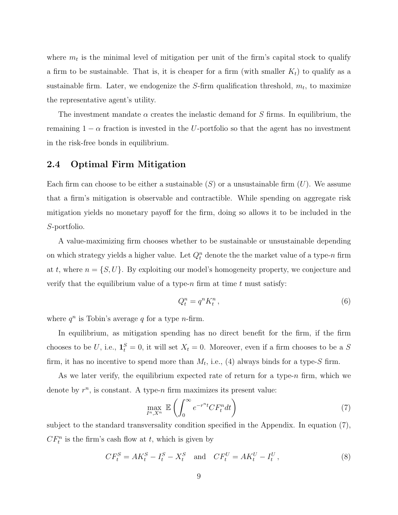where  $m_t$  is the minimal level of mitigation per unit of the firm's capital stock to qualify a firm to be sustainable. That is, it is cheaper for a firm (with smaller  $K_t$ ) to qualify as a sustainable firm. Later, we endogenize the  $S$ -firm qualification threshold,  $m_t$ , to maximize the representative agent's utility.

The investment mandate  $\alpha$  creates the inelastic demand for S firms. In equilibrium, the remaining  $1 - \alpha$  fraction is invested in the U-portfolio so that the agent has no investment in the risk-free bonds in equilibrium.

### 2.4 Optimal Firm Mitigation

Each firm can choose to be either a sustainable  $(S)$  or a unsustainable firm  $(U)$ . We assume that a firm's mitigation is observable and contractible. While spending on aggregate risk mitigation yields no monetary payoff for the firm, doing so allows it to be included in the S-portfolio.

A value-maximizing firm chooses whether to be sustainable or unsustainable depending on which strategy yields a higher value. Let  $Q_t^n$  denote the the market value of a type-n firm at t, where  $n = \{S, U\}$ . By exploiting our model's homogeneity property, we conjecture and verify that the equilibrium value of a type-n firm at time  $t$  must satisfy:

$$
Q_t^n = q^n K_t^n, \t\t(6)
$$

where  $q^n$  is Tobin's average q for a type n-firm.

In equilibrium, as mitigation spending has no direct benefit for the firm, if the firm chooses to be U, i.e.,  $\mathbf{1}_t^S = 0$ , it will set  $X_t = 0$ . Moreover, even if a firm chooses to be a S firm, it has no incentive to spend more than  $M_t$ , i.e., (4) always binds for a type-S firm.

As we later verify, the equilibrium expected rate of return for a type- $n$  firm, which we denote by  $r^n$ , is constant. A type-n firm maximizes its present value:

$$
\max_{I^n, X^n} \mathbb{E}\left(\int_0^\infty e^{-r^n t} C F^n_t dt\right) \tag{7}
$$

subject to the standard transversality condition specified in the Appendix. In equation (7),  $CF_t^n$  is the firm's cash flow at t, which is given by

$$
CF_t^S = AK_t^S - I_t^S - X_t^S \quad \text{and} \quad CF_t^U = AK_t^U - I_t^U,
$$
\n
$$
(8)
$$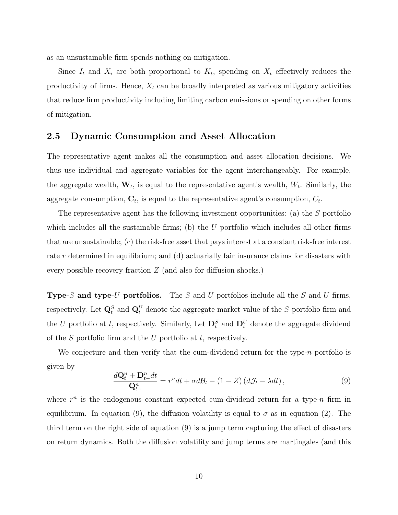as an unsustainable firm spends nothing on mitigation.

Since  $I_t$  and  $X_i$  are both proportional to  $K_t$ , spending on  $X_t$  effectively reduces the productivity of firms. Hence,  $X_t$  can be broadly interpreted as various mitigatory activities that reduce firm productivity including limiting carbon emissions or spending on other forms of mitigation.

#### 2.5 Dynamic Consumption and Asset Allocation

The representative agent makes all the consumption and asset allocation decisions. We thus use individual and aggregate variables for the agent interchangeably. For example, the aggregate wealth,  $W_t$ , is equal to the representative agent's wealth,  $W_t$ . Similarly, the aggregate consumption,  $C_t$ , is equal to the representative agent's consumption,  $C_t$ .

The representative agent has the following investment opportunities: (a) the S portfolio which includes all the sustainable firms; (b) the  $U$  portfolio which includes all other firms that are unsustainable; (c) the risk-free asset that pays interest at a constant risk-free interest rate r determined in equilibrium; and (d) actuarially fair insurance claims for disasters with every possible recovery fraction Z (and also for diffusion shocks.)

**Type-S and type-U portfolios.** The S and U portfolios include all the S and U firms, respectively. Let  $\mathbf{Q}_t^S$  and  $\mathbf{Q}_t^U$  denote the aggregate market value of the S portfolio firm and the U portfolio at t, respectively. Similarly, Let  $\mathbf{D}_t^S$  and  $\mathbf{D}_t^U$  denote the aggregate dividend of the  $S$  portfolio firm and the  $U$  portfolio at  $t$ , respectively.

We conjecture and then verify that the cum-dividend return for the type- $n$  portfolio is given by

$$
\frac{d\mathbf{Q}_t^n + \mathbf{D}_{t-}^n dt}{\mathbf{Q}_{t-}^n} = r^n dt + \sigma d\mathcal{B}_t - (1 - Z) \left( d\mathcal{J}_t - \lambda dt \right),\tag{9}
$$

where  $r^n$  is the endogenous constant expected cum-dividend return for a type-n firm in equilibrium. In equation (9), the diffusion volatility is equal to  $\sigma$  as in equation (2). The third term on the right side of equation (9) is a jump term capturing the effect of disasters on return dynamics. Both the diffusion volatility and jump terms are martingales (and this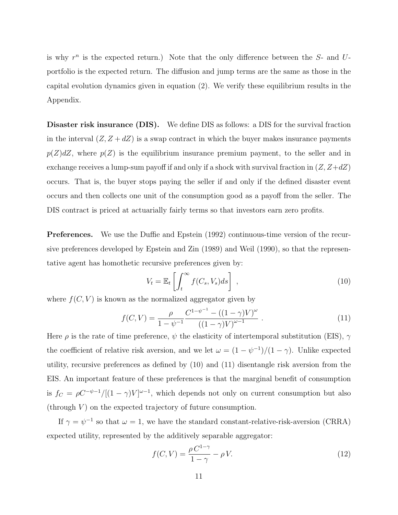is why  $r^n$  is the expected return.) Note that the only difference between the  $S$ - and  $U$ portfolio is the expected return. The diffusion and jump terms are the same as those in the capital evolution dynamics given in equation (2). We verify these equilibrium results in the Appendix.

Disaster risk insurance (DIS). We define DIS as follows: a DIS for the survival fraction in the interval  $(Z, Z + dZ)$  is a swap contract in which the buyer makes insurance payments  $p(Z)dZ$ , where  $p(Z)$  is the equilibrium insurance premium payment, to the seller and in exchange receives a lump-sum payoff if and only if a shock with survival fraction in  $(Z, Z+dZ)$ occurs. That is, the buyer stops paying the seller if and only if the defined disaster event occurs and then collects one unit of the consumption good as a payoff from the seller. The DIS contract is priced at actuarially fairly terms so that investors earn zero profits.

Preferences. We use the Duffie and Epstein (1992) continuous-time version of the recursive preferences developed by Epstein and Zin (1989) and Weil (1990), so that the representative agent has homothetic recursive preferences given by:

$$
V_t = \mathbb{E}_t \left[ \int_t^\infty f(C_s, V_s) ds \right], \qquad (10)
$$

where  $f(C, V)$  is known as the normalized aggregator given by

$$
f(C,V) = \frac{\rho}{1 - \psi^{-1}} \frac{C^{1 - \psi^{-1}} - ((1 - \gamma)V)^{\omega}}{((1 - \gamma)V)^{\omega - 1}}.
$$
\n(11)

Here  $\rho$  is the rate of time preference,  $\psi$  the elasticity of intertemporal substitution (EIS),  $\gamma$ the coefficient of relative risk aversion, and we let  $\omega = (1 - \psi^{-1})/(1 - \gamma)$ . Unlike expected utility, recursive preferences as defined by (10) and (11) disentangle risk aversion from the EIS. An important feature of these preferences is that the marginal benefit of consumption is  $f_C = \rho C^{-\psi-1}/[(1-\gamma)V]^{\omega-1}$ , which depends not only on current consumption but also  $(through V)$  on the expected trajectory of future consumption.

If  $\gamma = \psi^{-1}$  so that  $\omega = 1$ , we have the standard constant-relative-risk-aversion (CRRA) expected utility, represented by the additively separable aggregator:

$$
f(C,V) = \frac{\rho C^{1-\gamma}}{1-\gamma} - \rho V.
$$
\n(12)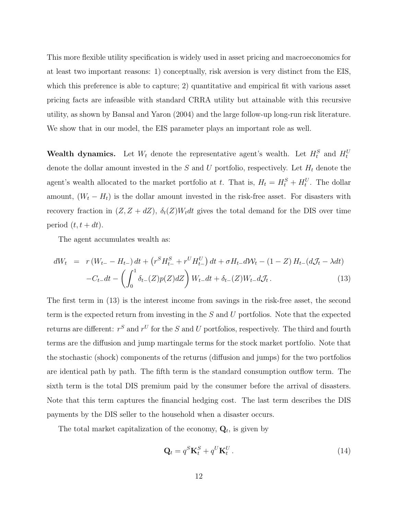This more flexible utility specification is widely used in asset pricing and macroeconomics for at least two important reasons: 1) conceptually, risk aversion is very distinct from the EIS, which this preference is able to capture; 2) quantitative and empirical fit with various asset pricing facts are infeasible with standard CRRA utility but attainable with this recursive utility, as shown by Bansal and Yaron (2004) and the large follow-up long-run risk literature. We show that in our model, the EIS parameter plays an important role as well.

Wealth dynamics. Let  $W_t$  denote the representative agent's wealth. Let  $H_t^S$  and  $H_t^U$ denote the dollar amount invested in the S and U portfolio, respectively. Let  $H_t$  denote the agent's wealth allocated to the market portfolio at t. That is,  $H_t = H_t^S + H_t^U$ . The dollar amount,  $(W_t - H_t)$  is the dollar amount invested in the risk-free asset. For disasters with recovery fraction in  $(Z, Z + dZ)$ ,  $\delta_t(Z)W_t dt$  gives the total demand for the DIS over time period  $(t, t + dt)$ .

The agent accumulates wealth as:

$$
dW_t = r(W_{t-} - H_{t-}) dt + (r^S H_{t-}^S + r^U H_{t-}^U) dt + \sigma H_{t-} dW_t - (1 - Z) H_{t-} (dJ_t - \lambda dt) - C_{t-} dt - \left( \int_0^1 \delta_{t-} (Z) p(Z) dZ \right) W_{t-} dt + \delta_{t-} (Z) W_{t-} dJ_t.
$$
 (13)

The first term in (13) is the interest income from savings in the risk-free asset, the second term is the expected return from investing in the  $S$  and  $U$  portfolios. Note that the expected returns are different:  $r^S$  and  $r^U$  for the S and U portfolios, respectively. The third and fourth terms are the diffusion and jump martingale terms for the stock market portfolio. Note that the stochastic (shock) components of the returns (diffusion and jumps) for the two portfolios are identical path by path. The fifth term is the standard consumption outflow term. The sixth term is the total DIS premium paid by the consumer before the arrival of disasters. Note that this term captures the financial hedging cost. The last term describes the DIS payments by the DIS seller to the household when a disaster occurs.

The total market capitalization of the economy,  $Q_t$ , is given by

$$
\mathbf{Q}_t = q^S \mathbf{K}_t^S + q^U \mathbf{K}_t^U. \tag{14}
$$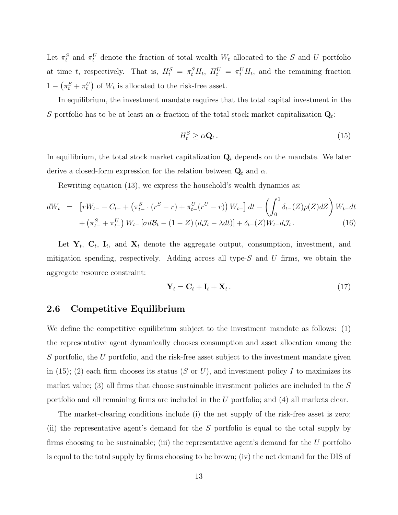Let  $\pi_t^S$  and  $\pi_t^U$  denote the fraction of total wealth  $W_t$  allocated to the S and U portfolio at time t, respectively. That is,  $H_t^S = \pi_t^S H_t$ ,  $H_t^U = \pi_t^U H_t$ , and the remaining fraction  $1 - (\pi_t^S + \pi_t^U)$  of  $W_t$  is allocated to the risk-free asset.

In equilibrium, the investment mandate requires that the total capital investment in the S portfolio has to be at least an  $\alpha$  fraction of the total stock market capitalization  $\mathbf{Q}_t$ :

$$
H_t^S \ge \alpha \mathbf{Q}_t. \tag{15}
$$

In equilibrium, the total stock market capitalization  $Q_t$  depends on the mandate. We later derive a closed-form expression for the relation between  $\mathbf{Q}_t$  and  $\alpha$ .

Rewriting equation (13), we express the household's wealth dynamics as:

$$
dW_t = \left[ rW_{t-} - C_{t-} + \left( \pi_{t-}^S \cdot (r^S - r) + \pi_{t-}^U (r^U - r) \right) W_{t-} \right] dt - \left( \int_0^1 \delta_{t-} (Z) p(Z) dZ \right) W_{t-} dt + \left( \pi_{t-}^S + \pi_{t-}^U \right) W_{t-} \left[ \sigma d\mathcal{B}_t - (1 - Z) \left( d\mathcal{J}_t - \lambda dt \right) \right] + \delta_{t-} (Z) W_{t-} d\mathcal{J}_t.
$$
 (16)

Let  $Y_t$ ,  $C_t$ ,  $I_t$ , and  $X_t$  denote the aggregate output, consumption, investment, and mitigation spending, respectively. Adding across all type- $S$  and  $U$  firms, we obtain the aggregate resource constraint:

$$
\mathbf{Y}_t = \mathbf{C}_t + \mathbf{I}_t + \mathbf{X}_t. \tag{17}
$$

#### 2.6 Competitive Equilibrium

We define the competitive equilibrium subject to the investment mandate as follows: (1) the representative agent dynamically chooses consumption and asset allocation among the S portfolio, the U portfolio, and the risk-free asset subject to the investment mandate given in (15); (2) each firm chooses its status (S or U), and investment policy I to maximizes its market value; (3) all firms that choose sustainable investment policies are included in the  $S$ portfolio and all remaining firms are included in the U portfolio; and (4) all markets clear.

The market-clearing conditions include (i) the net supply of the risk-free asset is zero; (ii) the representative agent's demand for the S portfolio is equal to the total supply by firms choosing to be sustainable; (iii) the representative agent's demand for the  $U$  portfolio is equal to the total supply by firms choosing to be brown; (iv) the net demand for the DIS of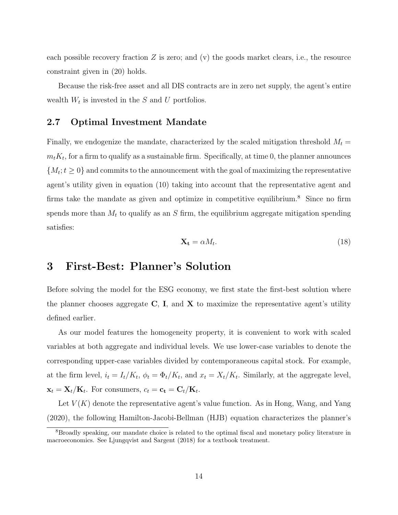each possible recovery fraction  $Z$  is zero; and (v) the goods market clears, i.e., the resource constraint given in (20) holds.

Because the risk-free asset and all DIS contracts are in zero net supply, the agent's entire wealth  $W_t$  is invested in the S and U portfolios.

#### 2.7 Optimal Investment Mandate

Finally, we endogenize the mandate, characterized by the scaled mitigation threshold  $M_t =$  $m_t K_t$ , for a firm to qualify as a sustainable firm. Specifically, at time 0, the planner announces  ${M_t; t \geq 0}$  and commits to the announcement with the goal of maximizing the representative agent's utility given in equation (10) taking into account that the representative agent and firms take the mandate as given and optimize in competitive equilibrium.<sup>8</sup> Since no firm spends more than  $M_t$  to qualify as an S firm, the equilibrium aggregate mitigation spending satisfies:

$$
\mathbf{X_t} = \alpha M_t. \tag{18}
$$

## 3 First-Best: Planner's Solution

Before solving the model for the ESG economy, we first state the first-best solution where the planner chooses aggregate  $C$ , I, and  $X$  to maximize the representative agent's utility defined earlier.

As our model features the homogeneity property, it is convenient to work with scaled variables at both aggregate and individual levels. We use lower-case variables to denote the corresponding upper-case variables divided by contemporaneous capital stock. For example, at the firm level,  $i_t = I_t/K_t$ ,  $\phi_t = \Phi_t/K_t$ , and  $x_t = X_t/K_t$ . Similarly, at the aggregate level,  $\mathbf{x}_t = \mathbf{X}_t / \mathbf{K}_t$ . For consumers,  $c_t = \mathbf{c_t} = \mathbf{C}_t / \mathbf{K}_t$ .

Let  $V(K)$  denote the representative agent's value function. As in Hong, Wang, and Yang (2020), the following Hamilton-Jacobi-Bellman (HJB) equation characterizes the planner's

<sup>&</sup>lt;sup>8</sup>Broadly speaking, our mandate choice is related to the optimal fiscal and monetary policy literature in macroeconomics. See Ljungqvist and Sargent (2018) for a textbook treatment.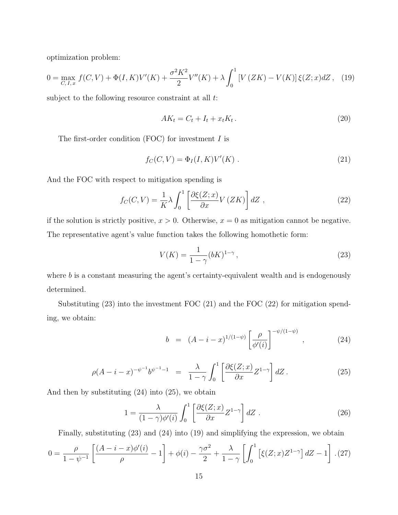optimization problem:

$$
0 = \max_{C, I, x} f(C, V) + \Phi(I, K)V'(K) + \frac{\sigma^2 K^2}{2} V''(K) + \lambda \int_0^1 \left[ V(ZK) - V(K) \right] \xi(Z; x) dZ \,, \tag{19}
$$

subject to the following resource constraint at all t:

$$
AK_t = C_t + I_t + x_t K_t. \tag{20}
$$

The first-order condition  $(FOC)$  for investment  $I$  is

$$
f_C(C, V) = \Phi_I(I, K)V'(K) . \qquad (21)
$$

And the FOC with respect to mitigation spending is

$$
f_C(C,V) = \frac{1}{K}\lambda \int_0^1 \left[ \frac{\partial \xi(Z;x)}{\partial x} V(ZK) \right] dZ , \qquad (22)
$$

if the solution is strictly positive,  $x > 0$ . Otherwise,  $x = 0$  as mitigation cannot be negative. The representative agent's value function takes the following homothetic form:

$$
V(K) = \frac{1}{1 - \gamma} (bK)^{1 - \gamma},
$$
\n(23)

where b is a constant measuring the agent's certainty-equivalent wealth and is endogenously determined.

Substituting (23) into the investment FOC (21) and the FOC (22) for mitigation spending, we obtain:

$$
b = (A - i - x)^{1/(1 - \psi)} \left[ \frac{\rho}{\phi'(i)} \right]^{-\psi/(1 - \psi)}, \qquad (24)
$$

$$
\rho(A - i - x)^{-\psi^{-1}} b^{\psi^{-1} - 1} = \frac{\lambda}{1 - \gamma} \int_0^1 \left[ \frac{\partial \xi(Z; x)}{\partial x} Z^{1 - \gamma} \right] dZ \,. \tag{25}
$$

And then by substituting (24) into (25), we obtain

$$
1 = \frac{\lambda}{(1 - \gamma)\phi'(i)} \int_0^1 \left[ \frac{\partial \xi(Z; x)}{\partial x} Z^{1 - \gamma} \right] dZ \tag{26}
$$

Finally, substituting (23) and (24) into (19) and simplifying the expression, we obtain

$$
0 = \frac{\rho}{1 - \psi^{-1}} \left[ \frac{(A - i - x)\phi'(i)}{\rho} - 1 \right] + \phi(i) - \frac{\gamma \sigma^2}{2} + \frac{\lambda}{1 - \gamma} \left[ \int_0^1 \left[ \xi(Z; x) Z^{1 - \gamma} \right] dZ - 1 \right]. (27)
$$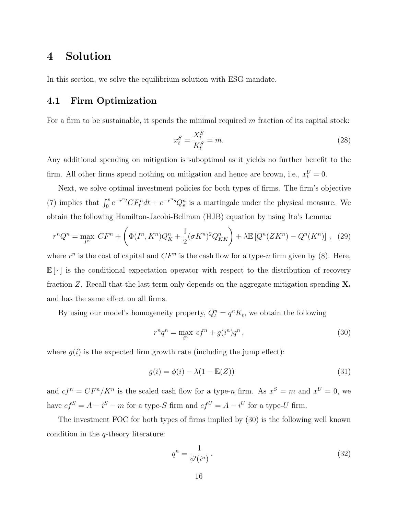### 4 Solution

In this section, we solve the equilibrium solution with ESG mandate.

### 4.1 Firm Optimization

For a firm to be sustainable, it spends the minimal required  $m$  fraction of its capital stock:

$$
x_t^S = \frac{X_t^S}{K_t^S} = m.
$$
\n
$$
(28)
$$

Any additional spending on mitigation is suboptimal as it yields no further benefit to the firm. All other firms spend nothing on mitigation and hence are brown, i.e.,  $x_t^U = 0$ .

Next, we solve optimal investment policies for both types of firms. The firm's objective (7) implies that  $\int_0^s e^{-r^n t} CF_t^n dt + e^{-r^n s} Q_s^n$  is a martingale under the physical measure. We obtain the following Hamilton-Jacobi-Bellman (HJB) equation by using Ito's Lemma:

$$
r^n Q^n = \max_{I^n} \, CF^n + \left( \Phi(I^n, K^n) Q_K^n + \frac{1}{2} (\sigma K^n)^2 Q_{KK}^n \right) + \lambda \mathbb{E} \left[ Q^n (ZK^n) - Q^n (K^n) \right] \,, \tag{29}
$$

where  $r^n$  is the cost of capital and  $CF^n$  is the cash flow for a type-n firm given by (8). Here,  $\mathbb{E}[\cdot]$  is the conditional expectation operator with respect to the distribution of recovery fraction Z. Recall that the last term only depends on the aggregate mitigation spending  $X_t$ and has the same effect on all firms.

By using our model's homogeneity property,  $Q_t^n = q^n K_t$ , we obtain the following

$$
r^n q^n = \max_{i^n} cf^n + g(i^n) q^n , \qquad (30)
$$

where  $g(i)$  is the expected firm growth rate (including the jump effect):

$$
g(i) = \phi(i) - \lambda(1 - \mathbb{E}(Z))
$$
\n(31)

and  $cf^n = CF^n/K^n$  is the scaled cash flow for a type-n firm. As  $x^S = m$  and  $x^U = 0$ , we have  $cf^S = A - i^S - m$  for a type-S firm and  $cf^U = A - i^U$  for a type-U firm.

The investment FOC for both types of firms implied by (30) is the following well known condition in the  $q$ -theory literature:

$$
q^n = \frac{1}{\phi'(i^n)}\,. \tag{32}
$$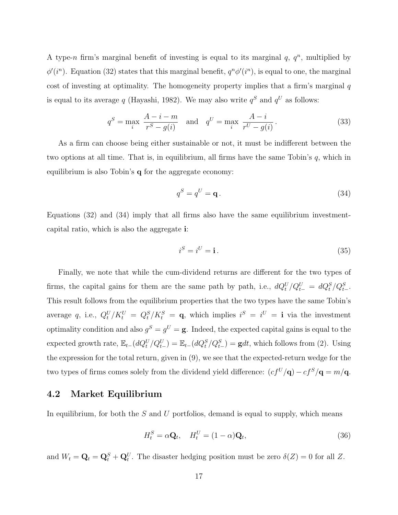A type-n firm's marginal benefit of investing is equal to its marginal  $q, q^n$ , multiplied by  $\phi'(i^n)$ . Equation (32) states that this marginal benefit,  $q^n\phi'(i^n)$ , is equal to one, the marginal cost of investing at optimality. The homogeneity property implies that a firm's marginal  $q$ is equal to its average q (Hayashi, 1982). We may also write  $q<sup>S</sup>$  and  $q<sup>U</sup>$  as follows:

$$
q^S = \max_i \frac{A - i - m}{r^S - g(i)}
$$
 and  $q^U = \max_i \frac{A - i}{r^U - g(i)}$ . (33)

As a firm can choose being either sustainable or not, it must be indifferent between the two options at all time. That is, in equilibrium, all firms have the same Tobin's  $q$ , which in equilibrium is also Tobin's  $q$  for the aggregate economy:

$$
q^S = q^U = \mathbf{q}.\tag{34}
$$

Equations (32) and (34) imply that all firms also have the same equilibrium investmentcapital ratio, which is also the aggregate i:

$$
i^S = i^U = \mathbf{i} \,. \tag{35}
$$

Finally, we note that while the cum-dividend returns are different for the two types of firms, the capital gains for them are the same path by path, i.e.,  $dQ_t^U/Q_{t-}^U = dQ_t^S/Q_{t-}^S$ . This result follows from the equilibrium properties that the two types have the same Tobin's average q, i.e.,  $Q_t^U/K_t^U = Q_t^S/K_t^S = \mathbf{q}$ , which implies  $i^S = i^U = \mathbf{i}$  via the investment optimality condition and also  $g^S = g^U = \mathbf{g}$ . Indeed, the expected capital gains is equal to the expected growth rate,  $\mathbb{E}_{t-1}(dQ_t^U/Q_{t-}^U) = \mathbb{E}_{t-1}(dQ_t^S/Q_{t-}^S) = \mathbf{g}dt$ , which follows from (2). Using the expression for the total return, given in (9), we see that the expected-return wedge for the two types of firms comes solely from the dividend yield difference:  $(c f^U / \mathbf{q}) - c f^S / \mathbf{q} = m / \mathbf{q}$ .

#### 4.2 Market Equilibrium

In equilibrium, for both the  $S$  and  $U$  portfolios, demand is equal to supply, which means

$$
H_t^S = \alpha \mathbf{Q}_t, \quad H_t^U = (1 - \alpha) \mathbf{Q}_t,\tag{36}
$$

and  $W_t = \mathbf{Q}_t = \mathbf{Q}_t^S + \mathbf{Q}_t^U$ . The disaster hedging position must be zero  $\delta(Z) = 0$  for all Z.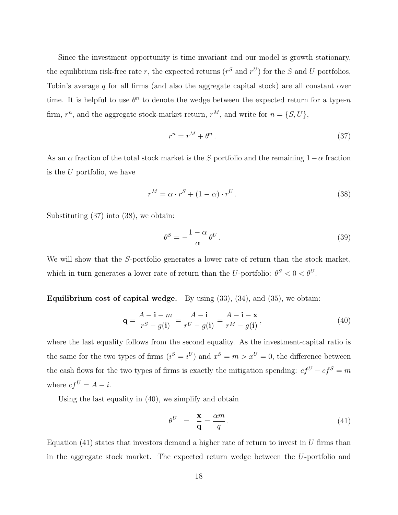Since the investment opportunity is time invariant and our model is growth stationary, the equilibrium risk-free rate r, the expected returns ( $r^S$  and  $r^U$ ) for the S and U portfolios, Tobin's average q for all firms (and also the aggregate capital stock) are all constant over time. It is helpful to use  $\theta^n$  to denote the wedge between the expected return for a type-n firm,  $r^n$ , and the aggregate stock-market return,  $r^M$ , and write for  $n = \{S, U\}$ ,

$$
r^n = r^M + \theta^n. \tag{37}
$$

As an  $\alpha$  fraction of the total stock market is the S portfolio and the remaining  $1-\alpha$  fraction is the U portfolio, we have

$$
r^M = \alpha \cdot r^S + (1 - \alpha) \cdot r^U. \tag{38}
$$

Substituting (37) into (38), we obtain:

$$
\theta^S = -\frac{1-\alpha}{\alpha} \theta^U. \tag{39}
$$

We will show that the S-portfolio generates a lower rate of return than the stock market, which in turn generates a lower rate of return than the U-portfolio:  $\theta^S < 0 < \theta^U$ .

Equilibrium cost of capital wedge. By using  $(33)$ ,  $(34)$ , and  $(35)$ , we obtain:

$$
\mathbf{q} = \frac{A - \mathbf{i} - m}{r^S - g(\mathbf{i})} = \frac{A - \mathbf{i}}{r^U - g(\mathbf{i})} = \frac{A - \mathbf{i} - \mathbf{x}}{r^M - g(\mathbf{i})},\tag{40}
$$

where the last equality follows from the second equality. As the investment-capital ratio is the same for the two types of firms  $(i^S = i^U)$  and  $x^S = m > x^U = 0$ , the difference between the cash flows for the two types of firms is exactly the mitigation spending:  $cf^U - cf^S = m$ where  $cf^U = A - i$ .

Using the last equality in (40), we simplify and obtain

$$
\theta^U = \frac{\mathbf{x}}{\mathbf{q}} = \frac{\alpha m}{q}.
$$
\n(41)

Equation  $(41)$  states that investors demand a higher rate of return to invest in U firms than in the aggregate stock market. The expected return wedge between the U-portfolio and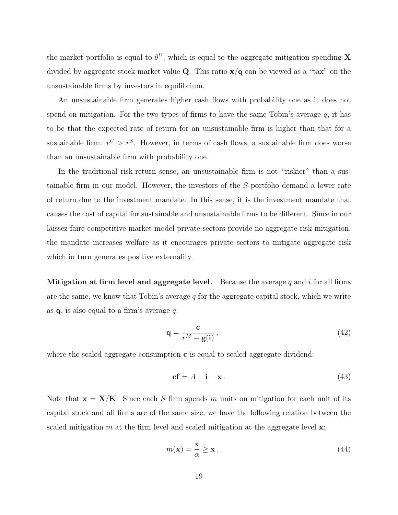the market portfolio is equal to  $\theta^U$ , which is equal to the aggregate mitigation spending X divided by aggregate stock market value Q. This ratio  $x/q$  can be viewed as a "tax" on the unsustainable firms by investors in equilibrium.

An unsustainable firm generates higher cash flows with probability one as it does not spend on mitigation. For the two types of firms to have the same Tobin's average  $q$ , it has to be that the expected rate of return for an unsustainable firm is higher than that for a sustainable firm:  $r^U > r^S$ . However, in terms of cash flows, a sustainable firm does worse than an unsustainable firm with probability one.

In the traditional risk-return sense, an unsustainable firm is not "riskier" than a sustainable firm in our model. However, the investors of the S-portfolio demand a lower rate of return due to the investment mandate. In this sense, it is the investment mandate that causes the cost of capital for sustainable and unsustainable firms to be different. Since in our laissez-faire competitive-market model private sectors provide no aggregate risk mitigation, the mandate increases welfare as it encourages private sectors to mitigate aggregate risk which in turn generates positive externality.

Mitigation at firm level and aggregate level. Because the average  $q$  and  $i$  for all firms are the same, we know that Tobin's average  $q$  for the aggregate capital stock, which we write as  $q$ , is also equal to a firm's average  $q$ :

$$
\mathbf{q} = \frac{\mathbf{c}}{r^M - \mathbf{g}(\mathbf{i})},\tag{42}
$$

where the scaled aggregate consumption  $\bf{c}$  is equal to scaled aggregate dividend:

$$
cf = A - i - x. \tag{43}
$$

Note that  $\mathbf{x} = \mathbf{X}/\mathbf{K}$ . Since each S firm spends m units on mitigation for each unit of its capital stock and all firms are of the same size, we have the following relation between the scaled mitigation m at the firm level and scaled mitigation at the aggregate level  $\mathbf{x}$ :

$$
m(\mathbf{x}) = \frac{\mathbf{x}}{\alpha} \ge \mathbf{x} \,. \tag{44}
$$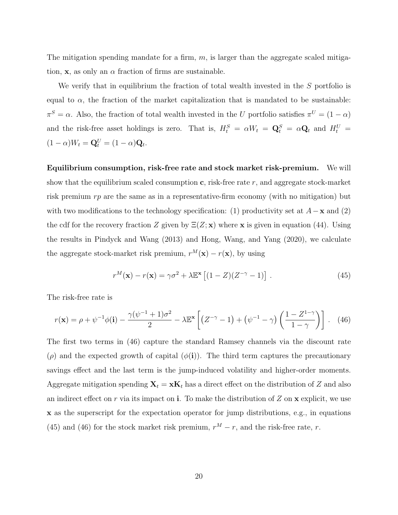The mitigation spending mandate for a firm,  $m$ , is larger than the aggregate scaled mitigation, x, as only an  $\alpha$  fraction of firms are sustainable.

We verify that in equilibrium the fraction of total wealth invested in the S portfolio is equal to  $\alpha$ , the fraction of the market capitalization that is mandated to be sustainable:  $\pi^S = \alpha$ . Also, the fraction of total wealth invested in the U portfolio satisfies  $\pi^U = (1 - \alpha)$ and the risk-free asset holdings is zero. That is,  $H_t^S = \alpha W_t = \mathbf{Q}_t^S = \alpha \mathbf{Q}_t$  and  $H_t^U =$  $(1 - \alpha)W_t = \mathbf{Q}_t^U = (1 - \alpha)\mathbf{Q}_t.$ 

Equilibrium consumption, risk-free rate and stock market risk-premium. We will show that the equilibrium scaled consumption  $\mathbf c$ , risk-free rate  $r$ , and aggregate stock-market risk premium  $rp$  are the same as in a representative-firm economy (with no mitigation) but with two modifications to the technology specification: (1) productivity set at  $A - x$  and (2) the cdf for the recovery fraction Z given by  $E(Z; x)$  where x is given in equation (44). Using the results in Pindyck and Wang (2013) and Hong, Wang, and Yang (2020), we calculate the aggregate stock-market risk premium,  $r^M(\mathbf{x}) - r(\mathbf{x})$ , by using

$$
r^{M}(\mathbf{x}) - r(\mathbf{x}) = \gamma \sigma^{2} + \lambda \mathbb{E}^{\mathbf{x}} \left[ (1 - Z)(Z^{-\gamma} - 1) \right]. \tag{45}
$$

The risk-free rate is

$$
r(\mathbf{x}) = \rho + \psi^{-1}\phi(\mathbf{i}) - \frac{\gamma(\psi^{-1} + 1)\sigma^2}{2} - \lambda \mathbb{E}^\mathbf{x} \left[ \left( Z^{-\gamma} - 1 \right) + \left( \psi^{-1} - \gamma \right) \left( \frac{1 - Z^{1-\gamma}}{1 - \gamma} \right) \right]. \tag{46}
$$

The first two terms in (46) capture the standard Ramsey channels via the discount rate  $(\rho)$  and the expected growth of capital  $(\phi(i))$ . The third term captures the precautionary savings effect and the last term is the jump-induced volatility and higher-order moments. Aggregate mitigation spending  $X_t = xK_t$  has a direct effect on the distribution of Z and also an indirect effect on r via its impact on i. To make the distribution of  $Z$  on  $x$  explicit, we use x as the superscript for the expectation operator for jump distributions, e.g., in equations (45) and (46) for the stock market risk premium,  $r^M - r$ , and the risk-free rate, r.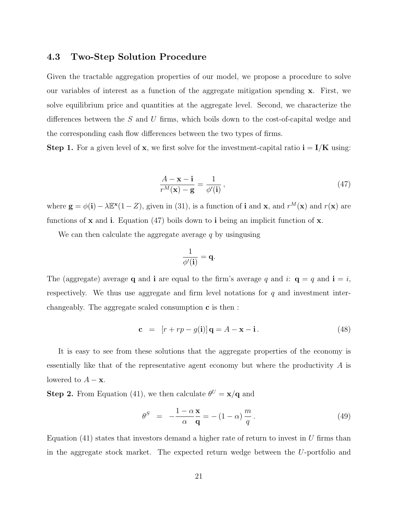#### 4.3 Two-Step Solution Procedure

Given the tractable aggregation properties of our model, we propose a procedure to solve our variables of interest as a function of the aggregate mitigation spending x. First, we solve equilibrium price and quantities at the aggregate level. Second, we characterize the differences between the S and U firms, which boils down to the cost-of-capital wedge and the corresponding cash flow differences between the two types of firms.

**Step 1.** For a given level of **x**, we first solve for the investment-capital ratio  $\mathbf{i} = \mathbf{I}/\mathbf{K}$  using:

$$
\frac{A - \mathbf{x} - \mathbf{i}}{r^M(\mathbf{x}) - \mathbf{g}} = \frac{1}{\phi'(\mathbf{i})},\tag{47}
$$

where  $\mathbf{g} = \phi(\mathbf{i}) - \lambda \mathbb{E}^{\mathbf{x}}(1 - Z)$ , given in (31), is a function of **i** and **x**, and  $r^M(\mathbf{x})$  and  $r(\mathbf{x})$  are functions of  $x$  and i. Equation (47) boils down to i being an implicit function of  $x$ .

We can then calculate the aggregate average  $q$  by usingusing

$$
\frac{1}{\phi'(\mathbf{i})} = \mathbf{q}.
$$

The (aggregate) average **q** and **i** are equal to the firm's average q and i:  $\mathbf{q} = q$  and  $\mathbf{i} = i$ , respectively. We thus use aggregate and firm level notations for  $q$  and investment interchangeably. The aggregate scaled consumption c is then :

$$
\mathbf{c} = [r + rp - g(\mathbf{i})] \mathbf{q} = A - \mathbf{x} - \mathbf{i}.
$$
 (48)

It is easy to see from these solutions that the aggregate properties of the economy is essentially like that of the representative agent economy but where the productivity A is lowered to  $A - \mathbf{x}$ .

**Step 2.** From Equation (41), we then calculate  $\theta^U = \mathbf{x}/\mathbf{q}$  and

$$
\theta^S = -\frac{1-\alpha \mathbf{x}}{\alpha \mathbf{q}} = -(1-\alpha)\frac{m}{q}.
$$
\n(49)

Equation  $(41)$  states that investors demand a higher rate of return to invest in U firms than in the aggregate stock market. The expected return wedge between the U-portfolio and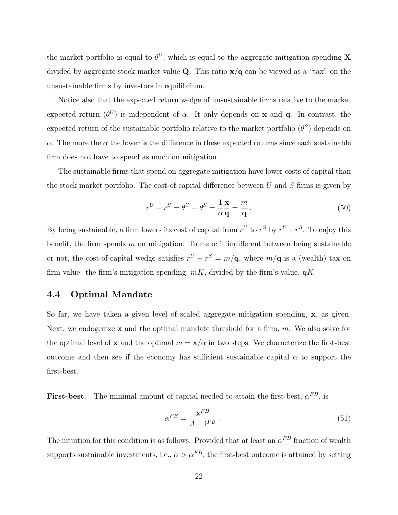the market portfolio is equal to  $\theta^U$ , which is equal to the aggregate mitigation spending X divided by aggregate stock market value **Q**. This ratio  $x/q$  can be viewed as a "tax" on the unsustainable firms by investors in equilibrium.

Notice also that the expected return wedge of unsustainable firms relative to the market expected return  $(\theta^U)$  is independent of  $\alpha$ . It only depends on **x** and **q**. In contrast, the expected return of the sustainable portfolio relative to the market portfolio  $(\theta^S)$  depends on  $\alpha$ . The more the  $\alpha$  the lower is the difference in these expected returns since each sustainable firm does not have to spend as much on mitigation.

The sustainable firms that spend on aggregate mitigation have lower costs of capital than the stock market portfolio. The cost-of-capital difference between  $U$  and  $S$  firms is given by

$$
r^{U} - r^{S} = \theta^{U} - \theta^{S} = \frac{1}{\alpha} \frac{\mathbf{x}}{\mathbf{q}} = \frac{m}{\mathbf{q}}.
$$
 (50)

By being sustainable, a firm lowers its cost of capital from  $r^U$  to  $r^S$  by  $r^U - r^S$ . To enjoy this benefit, the firm spends  $m$  on mitigation. To make it indifferent between being sustainable or not, the cost-of-capital wedge satisfies  $r^{U} - r^{S} = m/\mathbf{q}$ , where  $m/\mathbf{q}$  is a (wealth) tax on firm value: the firm's mitigation spending,  $mK$ , divided by the firm's value,  $qK$ .

### 4.4 Optimal Mandate

So far, we have taken a given level of scaled aggregate mitigation spending, x, as given. Next, we endogenize  $x$  and the optimal mandate threshold for a firm, m. We also solve for the optimal level of x and the optimal  $m = x/\alpha$  in two steps. We characterize the first-best outcome and then see if the economy has sufficient sustainable capital  $\alpha$  to support the first-best.

First-best. The minimal amount of capital needed to attain the first-best,  $\alpha^{FB}$ , is

$$
\underline{\alpha}^{FB} = \frac{\mathbf{x}^{FB}}{A - \mathbf{i}^{FB}}.\tag{51}
$$

The intuition for this condition is as follows. Provided that at least an  $\underline{\alpha}^{FB}$  fraction of wealth supports sustainable investments, i.e.,  $\alpha > \underline{\alpha}^{FB}$ , the first-best outcome is attained by setting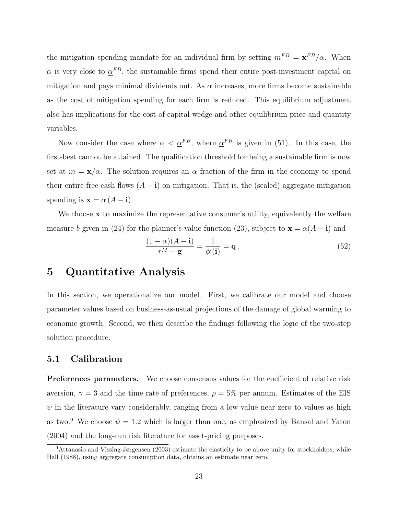the mitigation spending mandate for an individual firm by setting  $m^{FB} = \mathbf{x}^{FB}/\alpha$ . When  $\alpha$  is very close to  $\alpha^{FB}$ , the sustainable firms spend their entire post-investment capital on mitigation and pays minimal dividends out. As  $\alpha$  increases, more firms become sustainable as the cost of mitigation spending for each firm is reduced. This equilibrium adjustment also has implications for the cost-of-capital wedge and other equilibrium price and quantity variables.

Now consider the case where  $\alpha < \underline{\alpha}^{FB}$ , where  $\underline{\alpha}^{FB}$  is given in (51). In this case, the first-best cannot be attained. The qualification threshold for being a sustainable firm is now set at  $m = \mathbf{x}/\alpha$ . The solution requires an  $\alpha$  fraction of the firm in the economy to spend their entire free cash flows  $(A - i)$  on mitigation. That is, the (scaled) aggregate mitigation spending is  $\mathbf{x} = \alpha (A - \mathbf{i}).$ 

We choose  $x$  to maximize the representative consumer's utility, equivalently the welfare measure b given in (24) for the planner's value function (23), subject to  $\mathbf{x} = \alpha(A - \mathbf{i})$  and

$$
\frac{(1-\alpha)(A-\mathbf{i})}{r^M-\mathbf{g}} = \frac{1}{\phi'(\mathbf{i})} = \mathbf{q}.
$$
\n(52)

### 5 Quantitative Analysis

In this section, we operationalize our model. First, we calibrate our model and choose parameter values based on business-as-usual projections of the damage of global warming to economic growth. Second, we then describe the findings following the logic of the two-step solution procedure.

#### 5.1 Calibration

Preferences parameters. We choose consensus values for the coefficient of relative risk aversion,  $\gamma = 3$  and the time rate of preferences,  $\rho = 5\%$  per annum. Estimates of the EIS  $\psi$  in the literature vary considerably, ranging from a low value near zero to values as high as two.<sup>9</sup> We choose  $\psi = 1.2$  which is larger than one, as emphasized by Bansal and Yaron (2004) and the long-run risk literature for asset-pricing purposes.

<sup>9</sup>Attanasio and Vissing-Jørgensen (2003) estimate the elasticity to be above unity for stockholders, while Hall (1988), using aggregate consumption data, obtains an estimate near zero.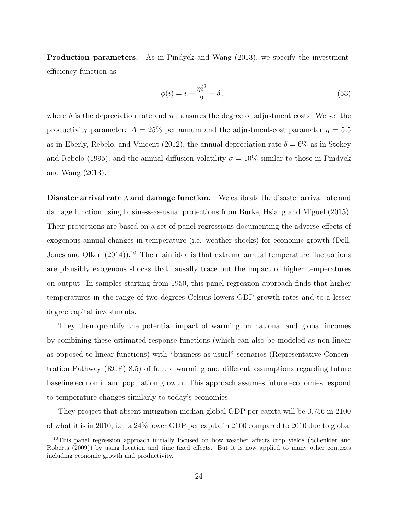Production parameters. As in Pindyck and Wang (2013), we specify the investmentefficiency function as

$$
\phi(i) = i - \frac{\eta i^2}{2} - \delta \,,\tag{53}
$$

where  $\delta$  is the depreciation rate and  $\eta$  measures the degree of adjustment costs. We set the productivity parameter:  $A = 25\%$  per annum and the adjustment-cost parameter  $\eta = 5.5$ as in Eberly, Rebelo, and Vincent (2012), the annual depreciation rate  $\delta = 6\%$  as in Stokey and Rebelo (1995), and the annual diffusion volatility  $\sigma = 10\%$  similar to those in Pindyck and Wang (2013).

**Disaster arrival rate**  $\lambda$  and damage function. We calibrate the disaster arrival rate and damage function using business-as-usual projections from Burke, Hsiang and Miguel (2015). Their projections are based on a set of panel regressions documenting the adverse effects of exogenous annual changes in temperature (i.e. weather shocks) for economic growth (Dell, Jones and Olken  $(2014)$ .<sup>10</sup> The main idea is that extreme annual temperature fluctuations are plausibly exogenous shocks that causally trace out the impact of higher temperatures on output. In samples starting from 1950, this panel regression approach finds that higher temperatures in the range of two degrees Celsius lowers GDP growth rates and to a lesser degree capital investments.

They then quantify the potential impact of warming on national and global incomes by combining these estimated response functions (which can also be modeled as non-linear as opposed to linear functions) with "business as usual" scenarios (Representative Concentration Pathway (RCP) 8.5) of future warming and different assumptions regarding future baseline economic and population growth. This approach assumes future economies respond to temperature changes similarly to today's economies.

They project that absent mitigation median global GDP per capita will be 0.756 in 2100 of what it is in 2010, i.e. a 24% lower GDP per capita in 2100 compared to 2010 due to global

<sup>&</sup>lt;sup>10</sup>This panel regression approach initially focused on how weather affects crop yields (Schenkler and Roberts (2009)) by using location and time fixed effects. But it is now applied to many other contexts including economic growth and productivity.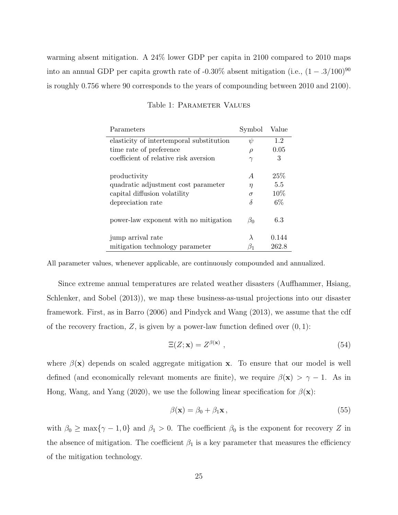warming absent mitigation. A 24% lower GDP per capita in 2100 compared to 2010 maps into an annual GDP per capita growth rate of -0.30% absent mitigation (i.e.,  $(1 - .3/100)^{90}$ is roughly 0.756 where 90 corresponds to the years of compounding between 2010 and 2100).

| Parameters                               | Symbol    | Value |
|------------------------------------------|-----------|-------|
| elasticity of intertemporal substitution | $\psi$    | 1.2   |
| time rate of preference                  | $\rho$    | 0.05  |
| coefficient of relative risk aversion    | $\gamma$  | 3     |
|                                          |           |       |
| productivity                             | A         | 25\%  |
| quadratic adjustment cost parameter      | η         | 5.5   |
| capital diffusion volatility             | $\sigma$  | 10%   |
| depreciation rate                        | δ         | $6\%$ |
|                                          |           |       |
| power-law exponent with no mitigation    | $\beta_0$ | 6.3   |
| jump arrival rate                        | $\lambda$ | 0.144 |
|                                          |           |       |
| mitigation technology parameter          | B1        | 262.8 |

#### Table 1: PARAMETER VALUES

All parameter values, whenever applicable, are continuously compounded and annualized.

Since extreme annual temperatures are related weather disasters (Auffhammer, Hsiang, Schlenker, and Sobel (2013)), we map these business-as-usual projections into our disaster framework. First, as in Barro (2006) and Pindyck and Wang (2013), we assume that the cdf of the recovery fraction,  $Z$ , is given by a power-law function defined over  $(0, 1)$ :

$$
\Xi(Z; \mathbf{x}) = Z^{\beta(\mathbf{x})} \,, \tag{54}
$$

where  $\beta(\mathbf{x})$  depends on scaled aggregate mitigation x. To ensure that our model is well defined (and economically relevant moments are finite), we require  $\beta(\mathbf{x}) > \gamma - 1$ . As in Hong, Wang, and Yang (2020), we use the following linear specification for  $\beta(\mathbf{x})$ :

$$
\beta(\mathbf{x}) = \beta_0 + \beta_1 \mathbf{x},\tag{55}
$$

with  $\beta_0 \ge \max\{\gamma - 1, 0\}$  and  $\beta_1 > 0$ . The coefficient  $\beta_0$  is the exponent for recovery Z in the absence of mitigation. The coefficient  $\beta_1$  is a key parameter that measures the efficiency of the mitigation technology.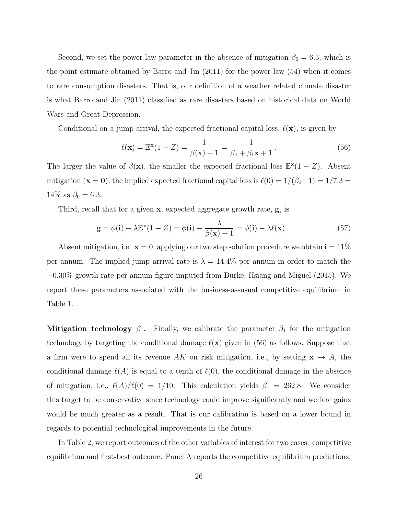Second, we set the power-law parameter in the absence of mitigation  $\beta_0 = 6.3$ , which is the point estimate obtained by Barro and Jin (2011) for the power law (54) when it comes to rare consumption disasters. That is, our definition of a weather related climate disaster is what Barro and Jin (2011) classified as rare disasters based on historical data on World Wars and Great Depression.

Conditional on a jump arrival, the expected fractional capital loss,  $\ell(\mathbf{x})$ , is given by

$$
\ell(\mathbf{x}) = \mathbb{E}^{\mathbf{x}}(1 - Z) = \frac{1}{\beta(\mathbf{x}) + 1} = \frac{1}{\beta_0 + \beta_1 \mathbf{x} + 1}.
$$
\n(56)

The larger the value of  $\beta(\mathbf{x})$ , the smaller the expected fractional loss  $\mathbb{E}^{*}(1 - Z)$ . Absent mitigation ( $\mathbf{x} = \mathbf{0}$ ), the implied expected fractional capital loss is  $\ell(0) = 1/(\beta_0 + 1) = 1/7.3$  $14\%$  as  $\beta_0 = 6.3$ .

Third, recall that for a given x, expected aggregate growth rate, g, is

$$
\mathbf{g} = \phi(\mathbf{i}) - \lambda \mathbb{E}^{\mathbf{x}} (1 - Z) = \phi(\mathbf{i}) - \frac{\lambda}{\beta(\mathbf{x}) + 1} = \phi(\mathbf{i}) - \lambda \ell(\mathbf{x}). \tag{57}
$$

Absent mitigation, i.e.  $\mathbf{x} = 0$ , applying our two step solution procedure we obtain  $\mathbf{i} = 11\%$ per annum. The implied jump arrival rate is  $\lambda = 14.4\%$  per annum in order to match the −0.30% growth rate per annum figure imputed from Burke, Hsiang and Miguel (2015). We report these parameters associated with the business-as-usual competitive equilibrium in Table 1.

Mitigation technology  $\beta_1$ . Finally, we calibrate the parameter  $\beta_1$  for the mitigation technology by targeting the conditional damage  $\ell(\mathbf{x})$  given in (56) as follows. Suppose that a firm were to spend all its revenue AK on risk mitigation, i.e., by setting  $\mathbf{x} \to A$ , the conditional damage  $\ell(A)$  is equal to a tenth of  $\ell(0)$ , the conditional damage in the absence of mitigation, i.e.,  $\ell(A)/\ell(0) = 1/10$ . This calculation yields  $\beta_1 = 262.8$ . We consider this target to be conservative since technology could improve significantly and welfare gains would be much greater as a result. That is our calibration is based on a lower bound in regards to potential technological improvements in the future.

In Table 2, we report outcomes of the other variables of interest for two cases: competitive equilibrium and first-best outcome. Panel A reports the competitive equilibrium predictions.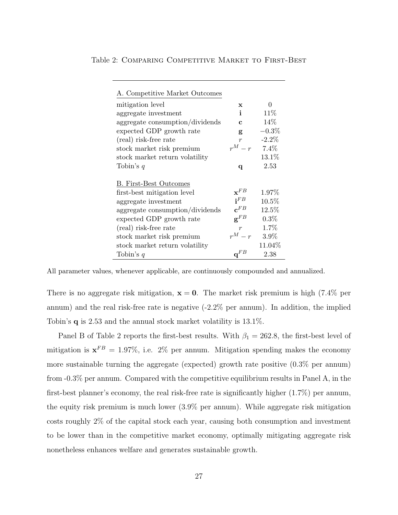| A. Competitive Market Outcomes  |                            |          |
|---------------------------------|----------------------------|----------|
| mitigation level                | $\mathbf x$                | 0        |
| aggregate investment            | $\mathbf{i}$               | 11\%     |
| aggregate consumption/dividends | $\mathbf{c}$               | 14\%     |
| expected GDP growth rate        | g                          | $-0.3%$  |
| (real) risk-free rate           | $\boldsymbol{r}$           | $-2.2\%$ |
| stock market risk premium       | $r^M-r$                    | 7.4%     |
| stock market return volatility  |                            | 13.1%    |
| Tobin's $q$                     | q                          | 2.53     |
|                                 |                            |          |
| <b>B.</b> First-Best Outcomes   |                            |          |
| first-best mitigation level     | $\mathbf{x}^{FB}$          | 1.97%    |
| aggregate investment            | $\mathbf{i}$ <sup>FB</sup> | $10.5\%$ |
|                                 |                            |          |
| aggregate consumption/dividends | $\mathbf{c}^{FB}$          | 12.5%    |
| expected GDP growth rate        | $\mathbf{g}^{FB}$          | $0.3\%$  |
| (real) risk-free rate           | $\boldsymbol{r}$           | 1.7%     |
| stock market risk premium       | $r^M-r$                    | $3.9\%$  |
| stock market return volatility  |                            | 11.04%   |

Table 2: COMPARING COMPETITIVE MARKET TO FIRST-BEST

All parameter values, whenever applicable, are continuously compounded and annualized.

There is no aggregate risk mitigation,  $x = 0$ . The market risk premium is high (7.4% per annum) and the real risk-free rate is negative (-2.2% per annum). In addition, the implied Tobin's q is 2.53 and the annual stock market volatility is 13.1%.

Panel B of Table 2 reports the first-best results. With  $\beta_1 = 262.8$ , the first-best level of mitigation is  $\mathbf{x}^{FB} = 1.97\%$ , i.e. 2% per annum. Mitigation spending makes the economy more sustainable turning the aggregate (expected) growth rate positive (0.3% per annum) from -0.3% per annum. Compared with the competitive equilibrium results in Panel A, in the first-best planner's economy, the real risk-free rate is significantly higher (1.7%) per annum, the equity risk premium is much lower (3.9% per annum). While aggregate risk mitigation costs roughly 2% of the capital stock each year, causing both consumption and investment to be lower than in the competitive market economy, optimally mitigating aggregate risk nonetheless enhances welfare and generates sustainable growth.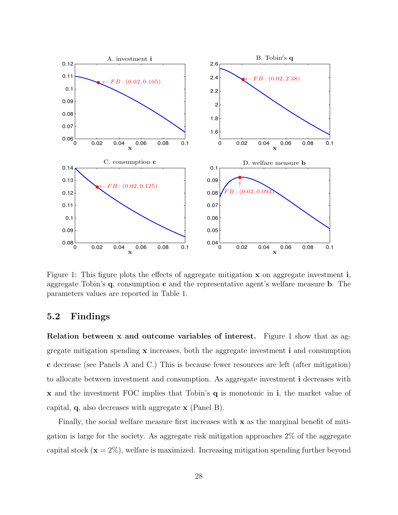

Figure 1: This figure plots the effects of aggregate mitigation  $x$  on aggregate investment i, aggregate Tobin's q, consumption c and the representative agent's welfare measure b. The parameters values are reported in Table 1.

#### 5.2 Findings

Relation between x and outcome variables of interest. Figure 1 show that as aggregate mitigation spending  $x$  increases, both the aggregate investment  $\mathbf{i}$  and consumption c decrease (see Panels A and C.) This is because fewer resources are left (after mitigation) to allocate between investment and consumption. As aggregate investment i decreases with x and the investment FOC implies that Tobin's q is monotonic in i, the market value of capital, q, also decreases with aggregate x (Panel B).

Finally, the social welfare measure first increases with  $x$  as the marginal benefit of mitigation is large for the society. As aggregate risk mitigation approaches 2% of the aggregate capital stock  $(x = 2\%)$ , welfare is maximized. Increasing mitigation spending further beyond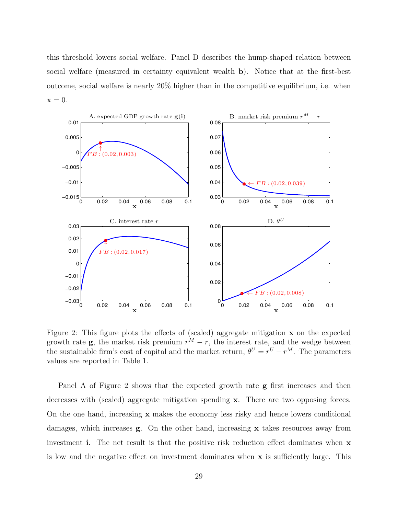this threshold lowers social welfare. Panel D describes the hump-shaped relation between social welfare (measured in certainty equivalent wealth b). Notice that at the first-best outcome, social welfare is nearly 20% higher than in the competitive equilibrium, i.e. when  $\mathbf{x} = 0.$ 



Figure 2: This figure plots the effects of (scaled) aggregate mitigation x on the expected growth rate **g**, the market risk premium  $r^M - r$ , the interest rate, and the wedge between the sustainable firm's cost of capital and the market return,  $\theta^U = r^U - r^M$ . The parameters values are reported in Table 1.

Panel A of Figure 2 shows that the expected growth rate **g** first increases and then decreases with (scaled) aggregate mitigation spending x. There are two opposing forces. On the one hand, increasing x makes the economy less risky and hence lowers conditional damages, which increases g. On the other hand, increasing x takes resources away from investment i. The net result is that the positive risk reduction effect dominates when x is low and the negative effect on investment dominates when x is sufficiently large. This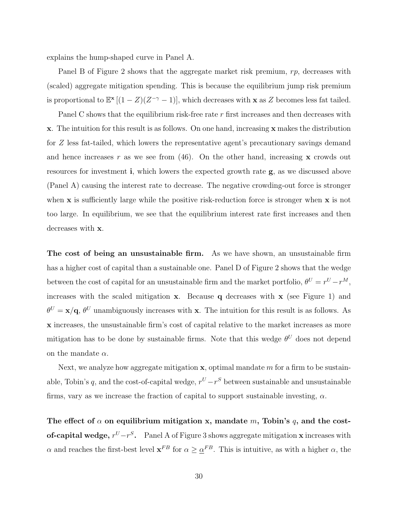explains the hump-shaped curve in Panel A.

Panel B of Figure 2 shows that the aggregate market risk premium, rp, decreases with (scaled) aggregate mitigation spending. This is because the equilibrium jump risk premium is proportional to  $\mathbb{E}^{x}[(1-Z)(Z^{-\gamma}-1)]$ , which decreases with **x** as Z becomes less fat tailed.

Panel C shows that the equilibrium risk-free rate r first increases and then decreases with x. The intuition for this result is as follows. On one hand, increasing x makes the distribution for Z less fat-tailed, which lowers the representative agent's precautionary savings demand and hence increases r as we see from (46). On the other hand, increasing **x** crowds out resources for investment i, which lowers the expected growth rate g, as we discussed above (Panel A) causing the interest rate to decrease. The negative crowding-out force is stronger when  $x$  is sufficiently large while the positive risk-reduction force is stronger when  $x$  is not too large. In equilibrium, we see that the equilibrium interest rate first increases and then decreases with x.

The cost of being an unsustainable firm. As we have shown, an unsustainable firm has a higher cost of capital than a sustainable one. Panel D of Figure 2 shows that the wedge between the cost of capital for an unsustainable firm and the market portfolio,  $\theta^{U} = r^{U} - r^{M}$ , increases with the scaled mitigation  $x$ . Because q decreases with  $x$  (see Figure 1) and  $\theta^U = \mathbf{x}/\mathbf{q}$ ,  $\theta^U$  unambiguously increases with x. The intuition for this result is as follows. As x increases, the unsustainable firm's cost of capital relative to the market increases as more mitigation has to be done by sustainable firms. Note that this wedge  $\theta^U$  does not depend on the mandate  $\alpha$ .

Next, we analyze how aggregate mitigation  $x$ , optimal mandate  $m$  for a firm to be sustainable, Tobin's q, and the cost-of-capital wedge,  $r^U - r^S$  between sustainable and unsustainable firms, vary as we increase the fraction of capital to support sustainable investing,  $\alpha$ .

The effect of  $\alpha$  on equilibrium mitigation x, mandate m, Tobin's q, and the cost**of-capital wedge,**  $r^{U}-r^{S}$ . Panel A of Figure 3 shows aggregate mitigation **x** increases with  $\alpha$  and reaches the first-best level  $\mathbf{x}^{FB}$  for  $\alpha \geq \underline{\alpha}^{FB}$ . This is intuitive, as with a higher  $\alpha$ , the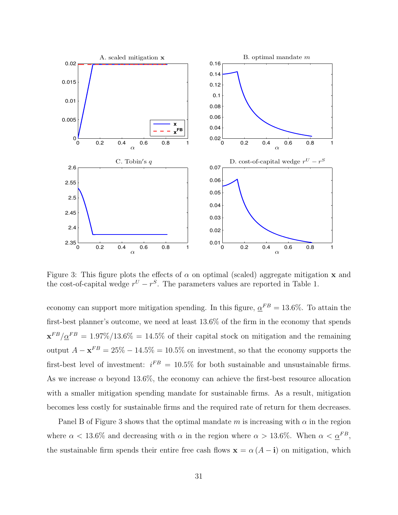

Figure 3: This figure plots the effects of  $\alpha$  on optimal (scaled) aggregate mitigation x and the cost-of-capital wedge  $r^U - r^S$ . The parameters values are reported in Table 1.

economy can support more mitigation spending. In this figure,  $\alpha^{FB} = 13.6\%$ . To attain the first-best planner's outcome, we need at least 13.6% of the firm in the economy that spends  $\mathbf{x}^{FB}/\underline{\alpha}^{FB} = 1.97\%/13.6\% = 14.5\%$  of their capital stock on mitigation and the remaining output  $A - \mathbf{x}^{FB} = 25\% - 14.5\% = 10.5\%$  on investment, so that the economy supports the first-best level of investment:  $i^{FB} = 10.5\%$  for both sustainable and unsustainable firms. As we increase  $\alpha$  beyond 13.6%, the economy can achieve the first-best resource allocation with a smaller mitigation spending mandate for sustainable firms. As a result, mitigation becomes less costly for sustainable firms and the required rate of return for them decreases.

Panel B of Figure 3 shows that the optimal mandate m is increasing with  $\alpha$  in the region where  $\alpha < 13.6\%$  and decreasing with  $\alpha$  in the region where  $\alpha > 13.6\%$ . When  $\alpha < \underline{\alpha}^{FB}$ , the sustainable firm spends their entire free cash flows  $\mathbf{x} = \alpha (A - \mathbf{i})$  on mitigation, which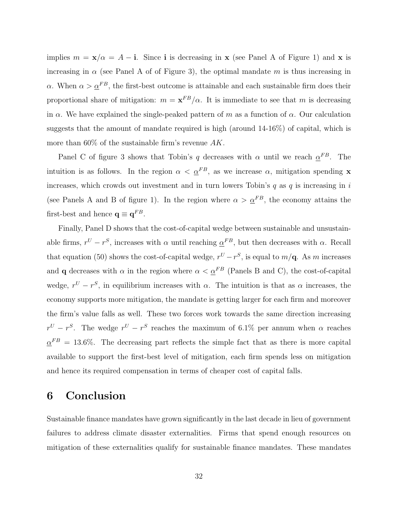implies  $m = x/\alpha = A - i$ . Since i is decreasing in x (see Panel A of Figure 1) and x is increasing in  $\alpha$  (see Panel A of of Figure 3), the optimal mandate m is thus increasing in α. When  $\alpha > \alpha^{FB}$ , the first-best outcome is attainable and each sustainable firm does their proportional share of mitigation:  $m = \mathbf{x}^{FB}/\alpha$ . It is immediate to see that m is decreasing in  $\alpha$ . We have explained the single-peaked pattern of m as a function of  $\alpha$ . Our calculation suggests that the amount of mandate required is high (around 14-16%) of capital, which is more than  $60\%$  of the sustainable firm's revenue  $AK$ .

Panel C of figure 3 shows that Tobin's q decreases with  $\alpha$  until we reach  $\alpha^{FB}$ . The intuition is as follows. In the region  $\alpha < \underline{\alpha}^{FB}$ , as we increase  $\alpha$ , mitigation spending **x** increases, which crowds out investment and in turn lowers Tobin's  $q$  as  $q$  is increasing in  $i$ (see Panels A and B of figure 1). In the region where  $\alpha > \underline{\alpha}^{FB}$ , the economy attains the first-best and hence  $\mathbf{q} \equiv \mathbf{q}^{FB}$ .

Finally, Panel D shows that the cost-of-capital wedge between sustainable and unsustainable firms,  $r^U - r^S$ , increases with  $\alpha$  until reaching  $\underline{\alpha}^{FB}$ , but then decreases with  $\alpha$ . Recall that equation (50) shows the cost-of-capital wedge,  $r^{U} - r^{S}$ , is equal to  $m/\mathbf{q}$ . As m increases and **q** decreases with  $\alpha$  in the region where  $\alpha < \underline{\alpha}^{FB}$  (Panels B and C), the cost-of-capital wedge,  $r^U - r^S$ , in equilibrium increases with  $\alpha$ . The intuition is that as  $\alpha$  increases, the economy supports more mitigation, the mandate is getting larger for each firm and moreover the firm's value falls as well. These two forces work towards the same direction increasing  $r^U - r^S$ . The wedge  $r^U - r^S$  reaches the maximum of 6.1% per annum when  $\alpha$  reaches  $\underline{\alpha}^{FB} = 13.6\%$ . The decreasing part reflects the simple fact that as there is more capital available to support the first-best level of mitigation, each firm spends less on mitigation and hence its required compensation in terms of cheaper cost of capital falls.

### 6 Conclusion

Sustainable finance mandates have grown significantly in the last decade in lieu of government failures to address climate disaster externalities. Firms that spend enough resources on mitigation of these externalities qualify for sustainable finance mandates. These mandates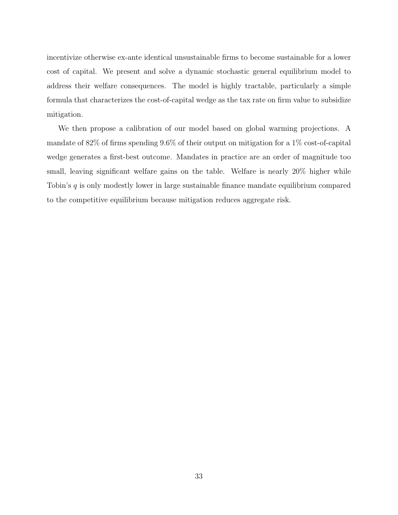incentivize otherwise ex-ante identical unsustainable firms to become sustainable for a lower cost of capital. We present and solve a dynamic stochastic general equilibrium model to address their welfare consequences. The model is highly tractable, particularly a simple formula that characterizes the cost-of-capital wedge as the tax rate on firm value to subsidize mitigation.

We then propose a calibration of our model based on global warming projections. A mandate of 82% of firms spending 9.6% of their output on mitigation for a 1% cost-of-capital wedge generates a first-best outcome. Mandates in practice are an order of magnitude too small, leaving significant welfare gains on the table. Welfare is nearly 20% higher while Tobin's  $q$  is only modestly lower in large sustainable finance mandate equilibrium compared to the competitive equilibrium because mitigation reduces aggregate risk.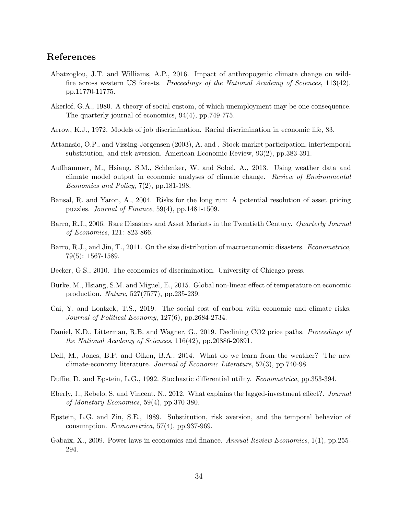#### References

- Abatzoglou, J.T. and Williams, A.P., 2016. Impact of anthropogenic climate change on wildfire across western US forests. Proceedings of the National Academy of Sciences, 113(42), pp.11770-11775.
- Akerlof, G.A., 1980. A theory of social custom, of which unemployment may be one consequence. The quarterly journal of economics, 94(4), pp.749-775.
- Arrow, K.J., 1972. Models of job discrimination. Racial discrimination in economic life, 83.
- Attanasio, O.P., and Vissing-Jørgensen (2003), A. and . Stock-market participation, intertemporal substitution, and risk-aversion. American Economic Review, 93(2), pp.383-391.
- Auffhammer, M., Hsiang, S.M., Schlenker, W. and Sobel, A., 2013. Using weather data and climate model output in economic analyses of climate change. Review of Environmental Economics and Policy, 7(2), pp.181-198.
- Bansal, R. and Yaron, A., 2004. Risks for the long run: A potential resolution of asset pricing puzzles. Journal of Finance, 59(4), pp.1481-1509.
- Barro, R.J., 2006. Rare Disasters and Asset Markets in the Twentieth Century. Quarterly Journal of Economics, 121: 823-866.
- Barro, R.J., and Jin, T., 2011. On the size distribution of macroeconomic disasters. Econometrica, 79(5): 1567-1589.
- Becker, G.S., 2010. The economics of discrimination. University of Chicago press.
- Burke, M., Hsiang, S.M. and Miguel, E., 2015. Global non-linear effect of temperature on economic production. Nature, 527(7577), pp.235-239.
- Cai, Y. and Lontzek, T.S., 2019. The social cost of carbon with economic and climate risks. Journal of Political Economy, 127(6), pp.2684-2734.
- Daniel, K.D., Litterman, R.B. and Wagner, G., 2019. Declining CO2 price paths. *Proceedings of* the National Academy of Sciences, 116(42), pp.20886-20891.
- Dell, M., Jones, B.F. and Olken, B.A., 2014. What do we learn from the weather? The new climate-economy literature. Journal of Economic Literature, 52(3), pp.740-98.
- Duffie, D. and Epstein, L.G., 1992. Stochastic differential utility. *Econometrica*, pp.353-394.
- Eberly, J., Rebelo, S. and Vincent, N., 2012. What explains the lagged-investment effect?. Journal of Monetary Economics, 59(4), pp.370-380.
- Epstein, L.G. and Zin, S.E., 1989. Substitution, risk aversion, and the temporal behavior of consumption. Econometrica, 57(4), pp.937-969.
- Gabaix, X., 2009. Power laws in economics and finance. Annual Review Economics, 1(1), pp.255-294.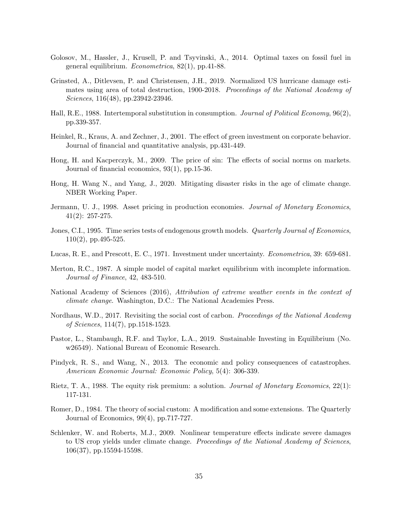- Golosov, M., Hassler, J., Krusell, P. and Tsyvinski, A., 2014. Optimal taxes on fossil fuel in general equilibrium. Econometrica, 82(1), pp.41-88.
- Grinsted, A., Ditlevsen, P. and Christensen, J.H., 2019. Normalized US hurricane damage estimates using area of total destruction, 1900-2018. Proceedings of the National Academy of Sciences, 116(48), pp.23942-23946.
- Hall, R.E., 1988. Intertemporal substitution in consumption. Journal of Political Economy, 96(2), pp.339-357.
- Heinkel, R., Kraus, A. and Zechner, J., 2001. The effect of green investment on corporate behavior. Journal of financial and quantitative analysis, pp.431-449.
- Hong, H. and Kacperczyk, M., 2009. The price of sin: The effects of social norms on markets. Journal of financial economics, 93(1), pp.15-36.
- Hong, H. Wang N., and Yang, J., 2020. Mitigating disaster risks in the age of climate change. NBER Working Paper.
- Jermann, U. J., 1998. Asset pricing in production economies. *Journal of Monetary Economics*, 41(2): 257-275.
- Jones, C.I., 1995. Time series tests of endogenous growth models. Quarterly Journal of Economics, 110(2), pp.495-525.
- Lucas, R. E., and Prescott, E. C., 1971. Investment under uncertainty. Econometrica, 39: 659-681.
- Merton, R.C., 1987. A simple model of capital market equilibrium with incomplete information. Journal of Finance, 42, 483-510.
- National Academy of Sciences (2016), Attribution of extreme weather events in the context of climate change. Washington, D.C.: The National Academies Press.
- Nordhaus, W.D., 2017. Revisiting the social cost of carbon. Proceedings of the National Academy of Sciences, 114(7), pp.1518-1523.
- Pastor, L., Stambaugh, R.F. and Taylor, L.A., 2019. Sustainable Investing in Equilibrium (No. w26549). National Bureau of Economic Research.
- Pindyck, R. S., and Wang, N., 2013. The economic and policy consequences of catastrophes. American Economic Journal: Economic Policy, 5(4): 306-339.
- Rietz, T. A., 1988. The equity risk premium: a solution. *Journal of Monetary Economics*, 22(1): 117-131.
- Romer, D., 1984. The theory of social custom: A modification and some extensions. The Quarterly Journal of Economics, 99(4), pp.717-727.
- Schlenker, W. and Roberts, M.J., 2009. Nonlinear temperature effects indicate severe damages to US crop yields under climate change. Proceedings of the National Academy of Sciences, 106(37), pp.15594-15598.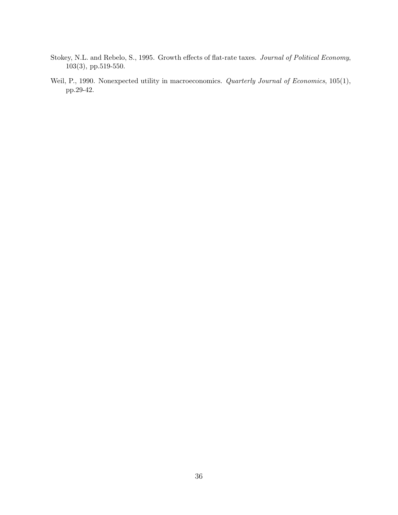- Stokey, N.L. and Rebelo, S., 1995. Growth effects of flat-rate taxes. Journal of Political Economy, 103(3), pp.519-550.
- Weil, P., 1990. Nonexpected utility in macroeconomics. Quarterly Journal of Economics, 105(1), pp.29-42.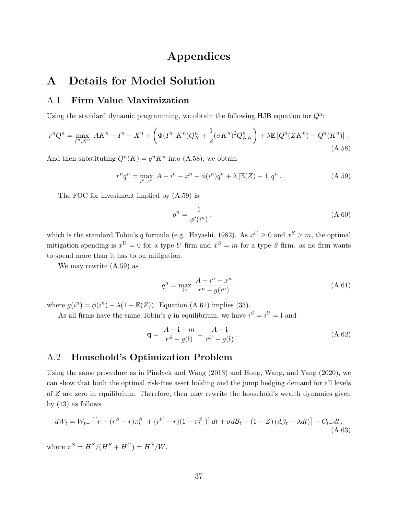## Appendices

## A Details for Model Solution

### A.1 Firm Value Maximization

Using the standard dynamic programming, we obtain the following HJB equation for  $Q^n$ :

$$
r^{n}Q^{n} = \max_{I^{n}, X^{n}} AK^{n} - I^{n} - X^{n} + \left(\Phi(I^{n}, K^{n})Q_{K}^{n} + \frac{1}{2}(\sigma K^{n})^{2}Q_{KK}^{n}\right) + \lambda \mathbb{E}\left[Q^{n}(ZK^{n}) - Q^{n}(K^{n})\right].
$$
\n(A.58)

And then substituting  $Q^n(K) = q^n K^n$  into (A.58), we obtain

$$
r^{n}q^{n} = \max_{i^{n},x^{n}} A - i^{n} - x^{n} + \phi(i^{n})q^{n} + \lambda \left[\mathbb{E}(Z) - 1\right]q^{n}.
$$
 (A.59)

The FOC for investment implied by (A.59) is

$$
q^n = \frac{1}{\phi'(i^n)},\tag{A.60}
$$

which is the standard Tobin's q formula (e.g., Hayashi, 1982). As  $x^U \ge 0$  and  $x^S \ge m$ , the optimal mitigation spending is  $x^U = 0$  for a type-U firm and  $x^S = m$  for a type-S firm. as no firm wants to spend more than it has to on mitigation.

We may rewrite (A.59) as

$$
q^{n} = \max_{i^{n}} \frac{A - i^{n} - x^{n}}{r^{n} - g(i^{n})},
$$
\n(A.61)

where  $g(i^n) = \phi(i^n) - \lambda(1 - \mathbb{E}(Z))$ . Equation (A.61) implies (33).

As all firms have the same Tobin's q in equilibrium, we have  $i^S = i^U = \mathbf{i}$  and

$$
\mathbf{q} = \frac{A - \mathbf{i} - m}{r^S - g(\mathbf{i})} = \frac{A - \mathbf{i}}{r^U - g(\mathbf{i})}.
$$
\n(A.62)

#### A.2 Household's Optimization Problem

Using the same procedure as in Pindyck and Wang (2013) and Hong, Wang, and Yang (2020), we can show that both the optimal risk-free asset holding and the jump hedging demand for all levels of Z are zero in equilibrium. Therefore, then may rewrite the household's wealth dynamics given by (13) as follows

$$
dW_t = W_{t-} \left[ \left[ r + (r^S - r) \pi_{t-}^S + (r^U - r)(1 - \pi_{t-}^S) \right] dt + \sigma d\mathcal{B}_t - (1 - Z) \left( d\mathcal{J}_t - \lambda dt \right) \right] - C_{t-} dt,
$$
\n(A.63)

where  $\pi^S = H^S / (H^S + H^U) = H^S / W$ .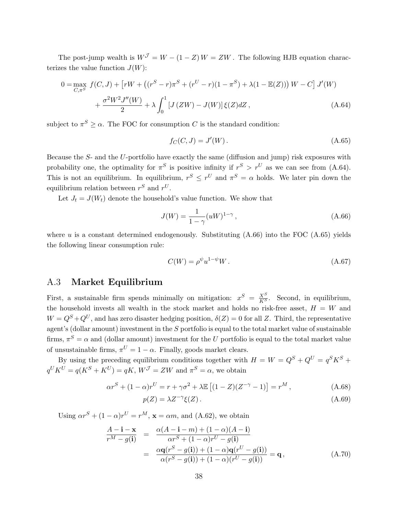The post-jump wealth is  $W^{\mathcal{J}} = W - (1 - Z) W = ZW$ . The following HJB equation characterizes the value function  $J(W)$ :

$$
0 = \max_{C, \pi^S} f(C, J) + [rW + ((r^S - r)\pi^S + (r^U - r)(1 - \pi^S) + \lambda(1 - \mathbb{E}(Z))) W - C] J'(W) + \frac{\sigma^2 W^2 J''(W)}{2} + \lambda \int_0^1 [J(ZW) - J(W)] \xi(Z) dZ,
$$
 (A.64)

subject to  $\pi^S \ge \alpha$ . The FOC for consumption C is the standard condition:

$$
f_C(C, J) = J'(W).
$$
\n(A.65)

Because the S- and the U-portfolio have exactly the same (diffusion and jump) risk exposures with probability one, the optimality for  $\pi^S$  is positive infinity if  $r^S > r^U$  as we can see from (A.64). This is not an equilibrium. In equilibrium,  $r^S \leq r^U$  and  $\pi^S = \alpha$  holds. We later pin down the equilibrium relation between  $r^S$  and  $r^U$ .

Let  $J_t = J(W_t)$  denote the household's value function. We show that

$$
J(W) = \frac{1}{1 - \gamma} (uW)^{1 - \gamma},
$$
\n(A.66)

where  $u$  is a constant determined endogenously. Substituting  $(A.66)$  into the FOC  $(A.65)$  yields the following linear consumption rule:

$$
C(W) = \rho^{\psi} u^{1-\psi} W. \tag{A.67}
$$

#### A.3 Market Equilibrium

First, a sustainable firm spends minimally on mitigation:  $x^S = \frac{X^S}{K^S}$ . Second, in equilibrium, the household invests all wealth in the stock market and holds no risk-free asset,  $H = W$  and  $W = Q^{S} + Q^{U}$ , and has zero disaster hedging position,  $\delta(Z) = 0$  for all Z. Third, the representative agent's (dollar amount) investment in the S portfolio is equal to the total market value of sustainable firms,  $\pi^S = \alpha$  and (dollar amount) investment for the U portfolio is equal to the total market value of unsustainable firms,  $\pi^U = 1 - \alpha$ . Finally, goods market clears.

By using the preceding equilibrium conditions together with  $H = W = Q^S + Q^U = q^S K^S +$  $q^U K^U = q(K^S + K^U) = qK$ ,  $W^{\mathcal{J}} = ZW$  and  $\pi^S = \alpha$ , we obtain

$$
\alpha r^{S} + (1 - \alpha)r^{U} = r + \gamma \sigma^{2} + \lambda \mathbb{E}\left[ (1 - Z)(Z^{-\gamma} - 1) \right] = r^{M},\tag{A.68}
$$

$$
p(Z) = \lambda Z^{-\gamma} \xi(Z). \tag{A.69}
$$

Using  $\alpha r^S + (1 - \alpha)r^U = r^M$ ,  $\mathbf{x} = \alpha m$ , and (A.62), we obtain

$$
\frac{A - \mathbf{i} - \mathbf{x}}{r^M - g(\mathbf{i})} = \frac{\alpha (A - \mathbf{i} - m) + (1 - \alpha)(A - \mathbf{i})}{\alpha r^S + (1 - \alpha)r^U - g(\mathbf{i})}
$$
\n
$$
= \frac{\alpha \mathbf{q}(r^S - g(\mathbf{i})) + (1 - \alpha)\mathbf{q}(r^U - g(\mathbf{i}))}{\alpha (r^S - g(\mathbf{i})) + (1 - \alpha)(r^U - g(\mathbf{i}))} = \mathbf{q},
$$
\n(A.70)